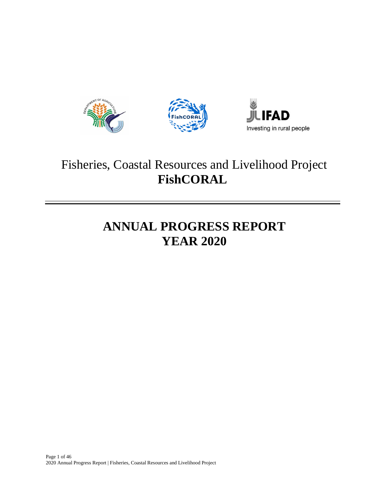





# Fisheries, Coastal Resources and Livelihood Project **FishCORAL**

# **ANNUAL PROGRESS REPORT YEAR 2020**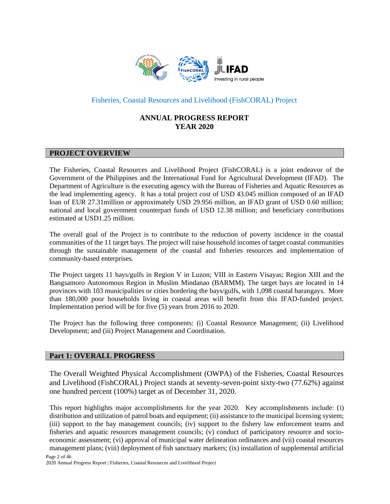

# Fisheries, Coastal Resources and Livelihood (FishCORAL) Project

# **ANNUAL PROGRESS REPORT YEAR 2020**

# **PROJECT OVERVIEW**

The Fisheries, Coastal Resources and Livelihood Project (FishCORAL) is a joint endeavor of the Government of the Philippines and the International Fund for Agricultural Development (IFAD). The Department of Agriculture is the executing agency with the Bureau of Fisheries and Aquatic Resources as the lead implementing agency. It has a total project cost of USD 43.045 million composed of an IFAD loan of EUR 27.31million or approximately USD 29.956 million, an IFAD grant of USD 0.60 million; national and local government counterpart funds of USD 12.38 million; and beneficiary contributions estimated at USD1.25 million.

The overall goal of the Project is to contribute to the reduction of poverty incidence in the coastal communities of the 11 target bays. The project will raise household incomes of target coastal communities through the sustainable management of the coastal and fisheries resources and implementation of community-based enterprises.

The Project targets 11 bays/gulfs in Region V in Luzon; VIII in Eastern Visayas; Region XIII and the Bangsamoro Autonomous Region in Muslim Mindanao (BARMM). The target bays are located in 14 provinces with 103 municipalities or cities bordering the bays/gulfs, with 1,098 coastal barangays. More than 180,000 poor households living in coastal areas will benefit from this IFAD-funded project. Implementation period will be for five (5) years from 2016 to 2020.

The Project has the following three components: (i) Coastal Resource Management; (ii) Livelihood Development; and (iii) Project Management and Coordination.

## **Part 1: OVERALL PROGRESS**

The Overall Weighted Physical Accomplishment (OWPA) of the Fisheries, Coastal Resources and Livelihood (FishCORAL) Project stands at seventy-seven-point sixty-two (77.62%) against one hundred percent (100%) target as of December 31, 2020.

This report highlights major accomplishments for the year 2020. Key accomplishments include: (i) distribution and utilization of patrol boats and equipment; (ii) assistance to the municipal licensing system; (iii) support to the bay management councils; (iv) support to the fishery law enforcement teams and fisheries and aquatic resources management councils; (v) conduct of participatory resource and socioeconomic assessment; (vi) approval of municipal water delineation ordinances and (vii) coastal resources management plans; (viii) deployment of fish sanctuary markers; (ix) installation of supplemental artificial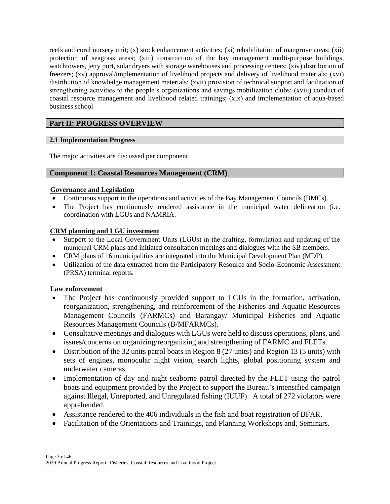reefs and coral nursery unit; (x) stock enhancement activities; (xi) rehabilitation of mangrove areas; (xii) protection of seagrass areas; (xiii) construction of the bay management multi-purpose buildings, watchtowers, jetty port, solar dryers with storage warehouses and processing centers; (xiv) distribution of freezers; (xv) approval/implementation of livelihood projects and delivery of livelihood materials; (xvi) distribution of knowledge management materials; (xvii) provision of technical support and facilitation of strengthening activities to the people's organizations and savings mobilization clubs; (xviii) conduct of coastal resource management and livelihood related trainings; (xix) and implementation of aqua-based business school

# **Part II: PROGRESS OVERVIEW**

# **2.1 Implementation Progress**

The major activities are discussed per component.

# **Component 1: Coastal Resources Management (CRM)**

# **Governance and Legislation**

- Continuous support in the operations and activities of the Bay Management Councils (BMCs).
- The Project has continuously rendered assistance in the municipal water delineation (i.e. coordination with LGUs and NAMRIA.

# **CRM planning and LGU investment**

- Support to the Local Government Units (LGUs) in the drafting, formulation and updating of the municipal CRM plans and initiated consultation meetings and dialogues with the SB members.
- CRM plans of 16 municipalities are integrated into the Municipal Development Plan (MDP).
- Utilization of the data extracted from the Participatory Resource and Socio-Economic Assessment (PRSA) terminal reports.

# **Law enforcement**

- The Project has continuously provided support to LGUs in the formation, activation, reorganization, strengthening, and reinforcement of the Fisheries and Aquatic Resources Management Councils (FARMCs) and Barangay/ Municipal Fisheries and Aquatic Resources Management Councils (B/MFARMCs).
- Consultative meetings and dialogues with LGUs were held to discuss operations, plans, and issues/concerns on organizing/reorganizing and strengthening of FARMC and FLETs.
- Distribution of the 32 units patrol boats in Region 8 (27 units) and Region 13 (5 units) with sets of engines, monocular night vision, search lights, global positioning system and underwater cameras.
- Implementation of day and night seaborne patrol directed by the FLET using the patrol boats and equipment provided by the Project to support the Bureau's intensified campaign against Illegal, Unreported, and Unregulated fishing (IUUF). A total of 272 violators were apprehended.
- Assistance rendered to the 406 individuals in the fish and boat registration of BFAR.
- Facilitation of the Orientations and Trainings, and Planning Workshops and, Seminars.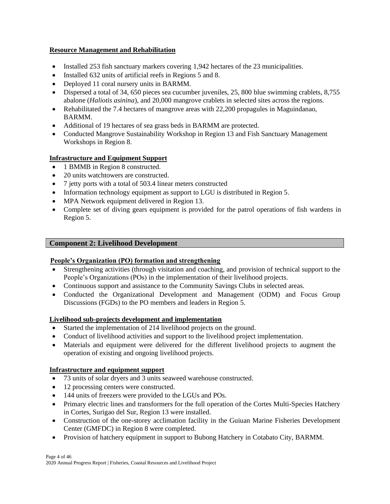# **Resource Management and Rehabilitation**

- Installed 253 fish sanctuary markers covering 1,942 hectares of the 23 municipalities.
- Installed 632 units of artificial reefs in Regions 5 and 8.
- Deployed 11 coral nursery units in BARMM.
- Dispersed a total of 34, 650 pieces sea cucumber juveniles, 25, 800 blue swimming crablets, 8,755 abalone (*Haliotis asinina*), and 20,000 mangrove crablets in selected sites across the regions.
- Rehabilitated the 7.4 hectares of mangrove areas with 22,200 propagules in Maguindanao, BARMM.
- Additional of 19 hectares of sea grass beds in BARMM are protected.
- Conducted Mangrove Sustainability Workshop in Region 13 and Fish Sanctuary Management Workshops in Region 8.

# **Infrastructure and Equipment Support**

- 1 BMMB in Region 8 constructed.
- 20 units watchtowers are constructed.
- 7 jetty ports with a total of 503.4 linear meters constructed
- Information technology equipment as support to LGU is distributed in Region 5.
- MPA Network equipment delivered in Region 13.
- Complete set of diving gears equipment is provided for the patrol operations of fish wardens in Region 5.

# **Component 2: Livelihood Development**

# **People's Organization (PO) formation and strengthening**

- Strengthening activities (through visitation and coaching, and provision of technical support to the People's Organizations (POs) in the implementation of their livelihood projects.
- Continuous support and assistance to the Community Savings Clubs in selected areas.
- Conducted the Organizational Development and Management (ODM) and Focus Group Discussions (FGDs) to the PO members and leaders in Region 5.

# **Livelihood sub-projects development and implementation**

- Started the implementation of 214 livelihood projects on the ground.
- Conduct of livelihood activities and support to the livelihood project implementation.
- Materials and equipment were delivered for the different livelihood projects to augment the operation of existing and ongoing livelihood projects.

# **Infrastructure and equipment support**

- 73 units of solar dryers and 3 units seaweed warehouse constructed.
- 12 processing centers were constructed.
- 144 units of freezers were provided to the LGUs and POs.
- Primary electric lines and transformers for the full operation of the Cortes Multi-Species Hatchery in Cortes, Surigao del Sur, Region 13 were installed.
- Construction of the one-storey acclimation facility in the Guiuan Marine Fisheries Development Center (GMFDC) in Region 8 were completed.
- Provision of hatchery equipment in support to Bubong Hatchery in Cotabato City, BARMM*.*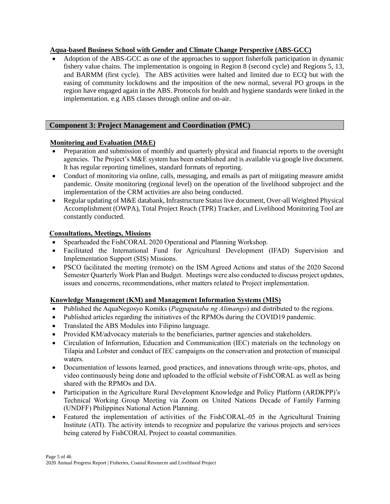# **Aqua-based Business School with Gender and Climate Change Perspective (ABS-GCC)**

• Adoption of the ABS-GCC as one of the approaches to support fisherfolk participation in dynamic fishery value chains. The implementation is ongoing in Region 8 (second cycle) and Regions 5, 13, and BARMM (first cycle). The ABS activities were halted and limited due to ECQ but with the easing of community lockdowns and the imposition of the new normal, several PO groups in the region have engaged again in the ABS. Protocols for health and hygiene standards were linked in the implementation. e.g ABS classes through online and on-air.

# **Component 3: Project Management and Coordination (PMC)**

# **Monitoring and Evaluation (M&E)**

- Preparation and submission of monthly and quarterly physical and financial reports to the oversight agencies. The Project's M&E system has been established and is available via google live document. It has regular reporting timelines, standard formats of reporting.
- Conduct of monitoring via online, calls, messaging, and emails as part of mitigating measure amidst pandemic. Onsite monitoring (regional level) on the operation of the livelihood subproject and the implementation of the CRM activities are also being conducted.
- Regular updating of M&E databank, Infrastructure Status live document, Over-all Weighted Physical Accomplishment (OWPA), Total Project Reach (TPR) Tracker, and Livelihood Monitoring Tool are constantly conducted.

# **Consultations, Meetings, Missions**

- Spearheaded the FishCORAL 2020 Operational and Planning Workshop.
- Facilitated the International Fund for Agricultural Development (IFAD) Supervision and Implementation Support (SIS) Missions.
- PSCO facilitated the meeting (remote) on the ISM Agreed Actions and status of the 2020 Second Semester Quarterly Work Plan and Budget. Meetings were also conducted to discuss project updates, issues and concerns, recommendations, other matters related to Project implementation.

# **Knowledge Management (KM) and Management Information Systems (MIS)**

- Published the AquaNegosyo Komiks (*Pagpapataba ng Alimango*) and distributed to the regions.
- Published articles regarding the initiatives of the RPMOs during the COVID19 pandemic.
- Translated the ABS Modules into Filipino language.
- Provided KM/advocacy materials to the beneficiaries, partner agencies and stakeholders.
- Circulation of Information, Education and Communication (IEC) materials on the technology on Tilapia and Lobster and conduct of IEC campaigns on the conservation and protection of municipal waters.
- Documentation of lessons learned, good practices, and innovations through write-ups, photos, and video continuously being done and uploaded to the official website of FishCORAL as well as being shared with the RPMOs and DA.
- Participation in the Agriculture Rural Development Knowledge and Policy Platform (ARDKPP)'s Technical Working Group Meeting via Zoom on United Nations Decade of Family Farming (UNDFF) Philippines National Action Planning.
- Featured the implementation of activities of the FishCORAL-05 in the Agricultural Training Institute (ATI). The activity intends to recognize and popularize the various projects and services being catered by FishCORAL Project to coastal communities.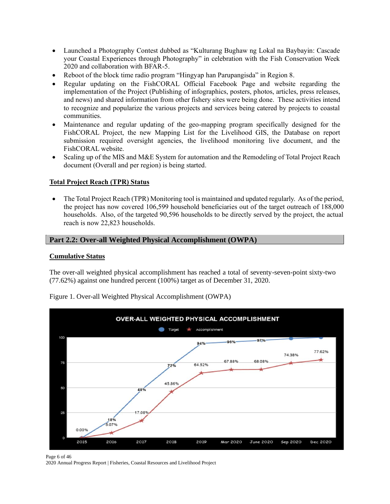- Launched a Photography Contest dubbed as "Kulturang Bughaw ng Lokal na Baybayin: Cascade your Coastal Experiences through Photography" in celebration with the Fish Conservation Week 2020 and collaboration with BFAR-5.
- Reboot of the block time radio program "Hingyap han Parupangisda" in Region 8.
- Regular updating on the FishCORAL Official Facebook Page and website regarding the implementation of the Project (Publishing of infographics, posters, photos, articles, press releases, and news) and shared information from other fishery sites were being done. These activities intend to recognize and popularize the various projects and services being catered by projects to coastal communities.
- Maintenance and regular updating of the geo-mapping program specifically designed for the FishCORAL Project, the new Mapping List for the Livelihood GIS, the Database on report submission required oversight agencies, the livelihood monitoring live document, and the FishCORAL website.
- Scaling up of the MIS and M&E System for automation and the Remodeling of Total Project Reach document (Overall and per region) is being started.

## **Total Project Reach (TPR) Status**

• The Total Project Reach (TPR) Monitoring tool is maintained and updated regularly. As of the period, the project has now covered 106,599 household beneficiaries out of the target outreach of 188,000 households. Also, of the targeted 90,596 households to be directly served by the project, the actual reach is now 22,823 households.

## **Part 2.2: Over-all Weighted Physical Accomplishment (OWPA)**

#### **Cumulative Status**

The over-all weighted physical accomplishment has reached a total of seventy-seven-point sixty-two (77.62%) against one hundred percent (100%) target as of December 31, 2020.



Figure 1. Over-all Weighted Physical Accomplishment (OWPA)

Page 6 of 46 2020 Annual Progress Report | Fisheries, Coastal Resources and Livelihood Project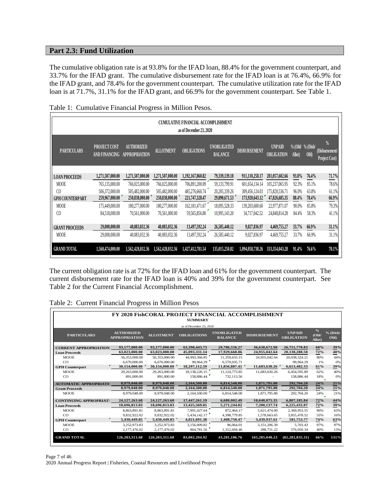# **Part 2.3: Fund Utilization**

The cumulative obligation rate is at 93.8% for the IFAD loan, 88.4% for the government counterpart, and 33.7% for the IFAD grant. The cumulative disbursement rate for the IFAD loan is at 76.4%, 66.9% for the IFAD grant, and 78.4% for the government counterpart. The cumulative utilization rate for the IFAD loan is at 71.7%, 31.1% for the IFAD grant, and 66.9% for the government counterpart. See Table 1.

| <b>CUMULATIVE FINANCIAL ACCOMPLISHMENT</b><br>as of December 23, 2020 |                                      |                                           |                  |                    |                                      |                     |                                    |        |                          |                                                  |
|-----------------------------------------------------------------------|--------------------------------------|-------------------------------------------|------------------|--------------------|--------------------------------------|---------------------|------------------------------------|--------|--------------------------|--------------------------------------------------|
| <b>PARTICULARS</b>                                                    | <b>PROJECT COST</b><br>AND FINANCING | <b>AUTHORIZED</b><br><b>APPROPRIATION</b> | <b>ALLOTMENT</b> | <b>OBLIGATIONS</b> | <b>UNOBLIGATED</b><br><b>BALANCE</b> | <b>DISBURSEMENT</b> | <b>UNPAID</b><br><b>OBLIGATION</b> | Allot) | % (Obl/ % (Disb/<br>Obl) | $\frac{0}{0}$<br>(Disbursement/<br>Project Cost) |
| <b>LOAN PROCEEDS</b>                                                  | 1,271,507,000.00                     | 1,271,507,000.00                          | 1,271,507,000.00 | 1,192,167,860.82   | 79,339,139.18                        | 911,110,258.17      | 281,057,602.66                     | 93.8%  | 76.4%                    | 71.7%                                            |
| <b>MOOE</b>                                                           | 765,135,000.00                       | 766,025,000.00                            | 766,025,000.00   | 706,891,200.09     | 59,133,799.91                        | 601,654,134.14      | 105,237,065.95                     | 92.3%  | 85.1%                    | 78.6%                                            |
| C <sub>0</sub>                                                        | 506,372,000.00                       | 505,482,000.00                            | 505,482,000.00   | 485,276,660.74     | 20.205.339.26                        | 309,456,124.03      | 175,820,536.71                     | 96.0%  | 63.8%                    | 61.1%                                            |
| <b>GPH COUNTERPART</b>                                                | 259,967,000.00                       | 250,838,000.00                            | 250,838,000.00   | 221,747,328.47     | 29,090,671.53                        | 173,920,643.12      | 47,826,685.35                      | 88.4%  | 78.4%                    | 66.9%                                            |
| <b>MOOE</b>                                                           | 175,449,000.00                       | 180.277.000.00                            | 180,277,000.00   | 162,181,471.67     | 18,095,528.33                        | 139,203,600.60      | 22,977,871.07                      | 90.0%  | 85.8%                    | 79.3%                                            |
| C <sub>0</sub>                                                        | 84,518,000.00                        | 70,561,000.00                             | 70,561,000.00    | 59,565,856.80      | 10.995,143.20                        | 34,717,042.52       | 24,848,814.28                      | 84.4%  | 58.3%                    | 41.1%                                            |
| <b>GRANT PROCEEDS</b>                                                 | 29,000,000.00                        | 40,083,032.36                             | 40,083,032.36    | 13,497,592.24      | 26,585,440.12                        | 9,027,836.97        | 4,469,755.27                       | 33.7%  | 66.9%                    | 31.1%                                            |
| <b>MOOE</b>                                                           | 29,000,000.00                        | 40,083,032.36                             | 40,083,032.36    | 13,497,592.24      | 26,585,440.12                        | 9,027,836.97        | 4,469,755.27                       | 33.7%  | 66.9%                    | 31.1%                                            |
| <b>GRAND TOTAL</b>                                                    | 1,560,474,000.00                     | 1,562,428,032.36                          | 1,562,428,032.36 | 1,427,412,781.54   | 135,015,250.82                       | 1,094,058,738.26    | 333,354,043.28                     | 91.4%  | 76.6%                    | 70.1%                                            |

Table 1: Cumulative Financial Progress in Million Pesos.

The current obligation rate is at 72% for the IFAD loan and 61% for the government counterpart. The current disbursement rate for the IFAD loan is 40% and 39% for the government counterpart. See Table 2 for the Current Financial Accomplishment.

|  | Table 2: Current Financial Progress in Million Pesos |  |  |
|--|------------------------------------------------------|--|--|
|  |                                                      |  |  |

| <b>FY 2020 FishCORAL PROJECT FINANCIAL ACCOMPLISHMENT</b> |                                           |                  |                         |                                      |                     |                                    |                                 |                    |
|-----------------------------------------------------------|-------------------------------------------|------------------|-------------------------|--------------------------------------|---------------------|------------------------------------|---------------------------------|--------------------|
|                                                           | <b>SUMMARY</b>                            |                  |                         |                                      |                     |                                    |                                 |                    |
|                                                           |                                           |                  | as of December 23, 2020 |                                      |                     |                                    |                                 |                    |
| <b>PARTICULARS</b>                                        | <b>AUTHORIZED</b><br><b>APPROPRIATION</b> | <b>ALLOTMENT</b> | <b>OBLIGATIONS</b>      | <b>UNOBLIGATED</b><br><b>BALANCE</b> | <b>DISBURSEMENT</b> | <b>UNPAID</b><br><b>OBLIGATION</b> | $\frac{0}{6}$<br>(Obl<br>Allot) | $%$ (Disb/<br>Obl) |
| <b>CURRENT APPROPRIATION</b>                              | 93.177.000.00                             | 93,177,000.00    | 63,390,443.73           | 29,786,556.27                        | 36,638,672.90       | 26,751,770.83                      | 68%                             | 39%                |
| <b>Loan Proceeds</b>                                      | 63.023.000.00                             | 63.023.000.00    | 45,093,331.14           | 17.929.668.86                        | 24.955.042.64       | 20,138,288.50                      | 72%                             | 40%                |
| <b>MOOE</b>                                               | 56,353,000.00                             | 56,353,000.00    | 44,993,366.85           | 11,359,633.15                        | 24,955,042.64       | 20.038.324.21                      | 80%                             | 44%                |
| CO                                                        | 6.670,000.00                              | 6.670,000.00     | 99,964.29               | 6,570,035.71                         |                     | 99.964.29                          | 1%                              | 0%                 |
| <b>GPH</b> Counterpart                                    | 30,154,000.00                             | 30,154,000.00    | 18,297,112.59           | 11,856,887.41                        | 11.683.630.26       | 6,613,482.33                       | 61%                             | 39%                |
| <b>MOOE</b>                                               | 29.263,000.00                             | 29.263,000.00    | 18, 138, 226, 15        | 11.124.773.85                        | 11.683.630.26       | 6.454.595.89                       | 62%                             | 40%                |
| CO                                                        | 891,000.00                                | 891,000,00       | 158,886.44              | 732.113.56                           |                     | 158,886.44                         | 18%<br>×                        | 0%                 |
| <b>AUTOMATIC APPROPRIATI</b>                              | 8.979.048.00                              | 8.979.048.00     | 2.164.500.00            | 6.814.548.00                         | 1,871,795.80        | 292,704.20                         | 24%                             | 21%                |
| <b>Grant Proceeds</b>                                     | 8.979.048.00                              | 8.979.048.00     | 2.164.500.00            | 6,814,548.00                         | 1.871.795.80        | 292,704.20                         | 24%                             | 21%                |
| <b>MOOE</b>                                               | 8,979,048.00                              | 8,979,048.00     | 2.164.500.00            | 6.814.548.00                         | 1,871,795.80        | 292,704.20                         | 24%                             | 21%                |
| <b>CONTINUING APPROPRIAT</b>                              | 24,127,263.68                             | 24,127,263,68    | 17.447.261.19           | 6.680.002.49                         | 10.640.075.35       | 6.807.185.84                       | 72%                             | 44%                |
| <b>Loan Proceeds</b>                                      | 18.696.813.83                             | 18,696,813.83    | 13,425,569.81           | 5,271,244.02                         | 7.200.137.74        | 6,225,432.07                       | 72%                             | 39%                |
| <b>MOOE</b>                                               | 8,863,891.81                              | 8,863,891.81     | 7,991,427.64            | 872.464.17                           | 5,621,474.09        | 2.369.953.55                       | 90%                             | 63%                |
| CO                                                        | 9.832.922.02                              | 9.832.922.02     | 5,434,142.17            | 4.398.779.85                         | 1,578,663.65        | 3,855,478.52                       | 55%                             | 16%                |
| <b>GPH</b> Counterpart                                    | 5,430,449.85                              | 5,430,449.85     | 4,021,691.38            | 1,408,758.47                         | 3,439,937.61        | 581,753.77                         | 74%                             | 63%                |
| <b>MOOE</b>                                               | 3.252.973.83                              | 3.252.973.83     | 3.156.909.82            | 96,064.01                            | 3.151.206.39        | 5.703.43                           | 97%                             | 97%                |
| CO                                                        | 2,177,476.02                              | 2,177,476.02     | 864,781.56              | 1,312,694.46                         | 288,731.22          | 576,050.34                         | 40%                             | 13%                |
| <b>GRAND TOTAL</b>                                        | 126.283.311.68                            | 126,283,311.68   | 83,002,204.92           | 43.281.106.76                        | 165,285,040.23      | (82, 282, 835, 31)                 | 66%                             | 131%               |

Page 7 of 46 2020 Annual Progress Report | Fisheries, Coastal Resources and Livelihood Project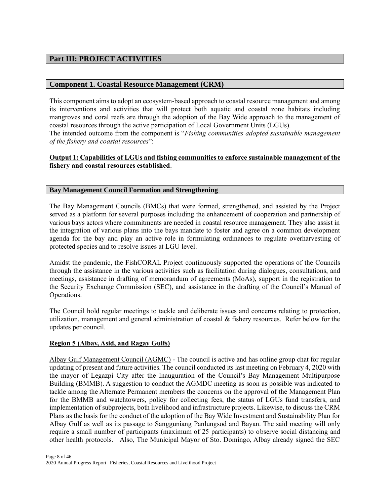# **Part III: PROJECT ACTIVITIES**

## **Component 1. Coastal Resource Management (CRM)**

This component aims to adopt an ecosystem-based approach to coastal resource management and among its interventions and activities that will protect both aquatic and coastal zone habitats including mangroves and coral reefs are through the adoption of the Bay Wide approach to the management of coastal resources through the active participation of Local Government Units (LGUs). The intended outcome from the component is "*Fishing communities adopted sustainable management of the fishery and coastal resources*":

# **Output 1: Capabilities of LGUs and fishing communities to enforce sustainable management of the fishery and coastal resources established**.

#### **Bay Management Council Formation and Strengthening**

The Bay Management Councils (BMCs) that were formed, strengthened, and assisted by the Project served as a platform for several purposes including the enhancement of cooperation and partnership of various bays actors where commitments are needed in coastal resource management. They also assist in the integration of various plans into the bays mandate to foster and agree on a common development agenda for the bay and play an active role in formulating ordinances to regulate overharvesting of protected species and to resolve issues at LGU level.

Amidst the pandemic, the FishCORAL Project continuously supported the operations of the Councils through the assistance in the various activities such as facilitation during dialogues, consultations, and meetings, assistance in drafting of memorandum of agreements (MoAs), support in the registration to the Security Exchange Commission (SEC), and assistance in the drafting of the Council's Manual of Operations.

The Council hold regular meetings to tackle and deliberate issues and concerns relating to protection, utilization, management and general administration of coastal & fishery resources. Refer below for the updates per council.

## **Region 5 (Albay, Asid, and Ragay Gulfs)**

Albay Gulf Management Council (AGMC) - The council is active and has online group chat for regular updating of present and future activities. The council conducted its last meeting on February 4, 2020 with the mayor of Legazpi City after the Inauguration of the Council's Bay Management Multipurpose Building (BMMB). A suggestion to conduct the AGMDC meeting as soon as possible was indicated to tackle among the Alternate Permanent members the concerns on the approval of the Management Plan for the BMMB and watchtowers, policy for collecting fees, the status of LGUs fund transfers, and implementation of subprojects, both livelihood and infrastructure projects. Likewise, to discuss the CRM Plans as the basis for the conduct of the adoption of the Bay Wide Investment and Sustainability Plan for Albay Gulf as well as its passage to Sangguniang Panlungsod and Bayan. The said meeting will only require a small number of participants (maximum of 25 participants) to observe social distancing and other health protocols. Also, The Municipal Mayor of Sto. Domingo, Albay already signed the SEC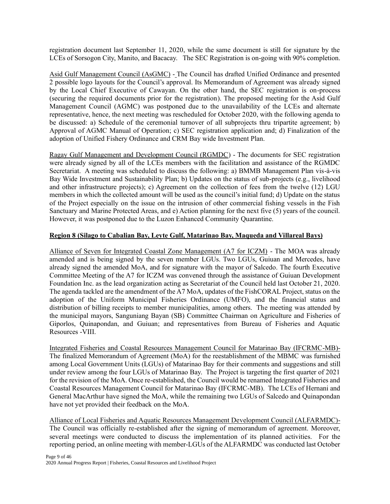registration document last September 11, 2020, while the same document is still for signature by the LCEs of Sorsogon City, Manito, and Bacacay. The SEC Registration is on-going with 90% completion.

Asid Gulf Management Council (AsGMC) - The Council has drafted Unified Ordinance and presented 2 possible logo layouts for the Council's approval. Its Memorandum of Agreement was already signed by the Local Chief Executive of Cawayan. On the other hand, the SEC registration is on-process (securing the required documents prior for the registration). The proposed meeting for the Asid Gulf Management Council (AGMC) was postponed due to the unavailability of the LCEs and alternate representative, hence, the next meeting was rescheduled for October 2020, with the following agenda to be discussed: a) Schedule of the ceremonial turnover of all subprojects thru tripartite agreement; b) Approval of AGMC Manual of Operation; c) SEC registration application and; d) Finalization of the adoption of Unified Fishery Ordinance and CRM Bay wide Investment Plan.

Ragay Gulf Management and Development Council (RGMDC) - The documents for SEC registration were already signed by all of the LCEs members with the facilitation and assistance of the RGMDC Secretariat. A meeting was scheduled to discuss the following: a) BMMB Management Plan vis-à-vis Bay Wide Investment and Sustainability Plan; b) Updates on the status of sub-projects (e.g., livelihood and other infrastructure projects); c) Agreement on the collection of fees from the twelve (12) LGU members in which the collected amount will be used as the council's initial fund; d) Update on the status of the Project especially on the issue on the intrusion of other commercial fishing vessels in the Fish Sanctuary and Marine Protected Areas, and e) Action planning for the next five (5) years of the council. However, it was postponed due to the Luzon Enhanced Community Quarantine.

## **Region 8 (Silago to Cabalian Bay, Leyte Gulf, Matarinao Bay, Maqueda and Villareal Bays)**

Alliance of Seven for Integrated Coastal Zone Management (A7 for ICZM) - The MOA was already amended and is being signed by the seven member LGUs. Two LGUs, Guiuan and Mercedes, have already signed the amended MoA, and for signature with the mayor of Salcedo. The fourth Executive Committee Meeting of the A7 for ICZM was convened through the assistance of Guiuan Development Foundation Inc. as the lead organization acting as Secretariat of the Council held last October 21, 2020. The agenda tackled are the amendment of the A7 MoA, updates of the FishCORAL Project, status on the adoption of the Uniform Municipal Fisheries Ordinance (UMFO), and the financial status and distribution of billing receipts to member municipalities, among others. The meeting was attended by the municipal mayors, Sanguniang Bayan (SB) Committee Chairman on Agriculture and Fisheries of Giporlos, Quinapondan, and Guiuan; and representatives from Bureau of Fisheries and Aquatic Resources -VIII.

Integrated Fisheries and Coastal Resources Management Council for Matarinao Bay (IFCRMC-MB)- The finalized Memorandum of Agreement (MoA) for the reestablishment of the MBMC was furnished among Local Government Units (LGUs) of Matarinao Bay for their comments and suggestions and still under review among the four LGUs of Matarinao Bay. The Project is targeting the first quarter of 2021 for the revision of the MoA. Once re-established, the Council would be renamed Integrated Fisheries and Coastal Resources Management Council for Matarinao Bay (IFCRMC-MB). The LCEs of Hernani and General MacArthur have signed the MoA, while the remaining two LGUs of Salcedo and Quinapondan have not yet provided their feedback on the MoA.

Alliance of Local Fisheries and Aquatic Resources Management Development Council (ALFARMDC)- The Council was officially re-established after the signing of memorandum of agreement. Moreover, several meetings were conducted to discuss the implementation of its planned activities. For the reporting period, an online meeting with member-LGUs of the ALFARMDC was conducted last October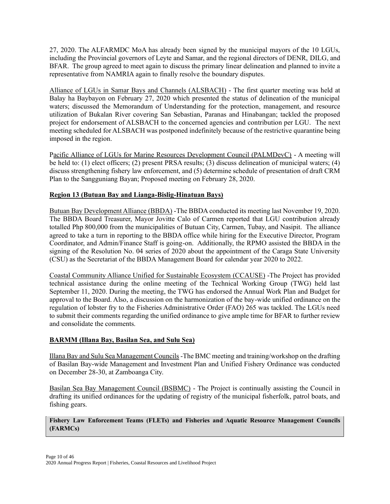27, 2020. The ALFARMDC MoA has already been signed by the municipal mayors of the 10 LGUs, including the Provincial governors of Leyte and Samar, and the regional directors of DENR, DILG, and BFAR. The group agreed to meet again to discuss the primary linear delineation and planned to invite a representative from NAMRIA again to finally resolve the boundary disputes.

Alliance of LGUs in Samar Bays and Channels (ALSBACH) - The first quarter meeting was held at Balay ha Baybayon on February 27, 2020 which presented the status of delineation of the municipal waters; discussed the Memorandum of Understanding for the protection, management, and resource utilization of Bukalan River covering San Sebastian, Paranas and Hinabangan; tackled the proposed project for endorsement of ALSBACH to the concerned agencies and contribution per LGU. The next meeting scheduled for ALSBACH was postponed indefinitely because of the restrictive quarantine being imposed in the region.

Pacific Alliance of LGUs for Marine Resources Development Council (PALMDevC) - A meeting will be held to: (1) elect officers; (2) present PRSA results; (3) discuss delineation of municipal waters; (4) discuss strengthening fishery law enforcement, and (5) determine schedule of presentation of draft CRM Plan to the Sangguniang Bayan; Proposed meeting on February 28, 2020.

# **Region 13 (Butuan Bay and Lianga-Bislig-Hinatuan Bays)**

Butuan Bay Development Alliance (BBDA) -The BBDA conducted its meeting last November 19, 2020. The BBDA Board Treasurer, Mayor Jovitte Calo of Carmen reported that LGU contribution already totalled Php 800,000 from the municipalities of Butuan City, Carmen, Tubay, and Nasipit. The alliance agreed to take a turn in reporting to the BBDA office while hiring for the Executive Director, Program Coordinator, and Admin/Finance Staff is going-on. Additionally, the RPMO assisted the BBDA in the signing of the Resolution No. 04 series of 2020 about the appointment of the Caraga State University (CSU) as the Secretariat of the BBDA Management Board for calendar year 2020 to 2022.

Coastal Community Alliance Unified for Sustainable Ecosystem (CCAUSE) -The Project has provided technical assistance during the online meeting of the Technical Working Group (TWG) held last September 11, 2020. During the meeting, the TWG has endorsed the Annual Work Plan and Budget for approval to the Board. Also, a discussion on the harmonization of the bay-wide unified ordinance on the regulation of lobster fry to the Fisheries Administrative Order (FAO) 265 was tackled. The LGUs need to submit their comments regarding the unified ordinance to give ample time for BFAR to further review and consolidate the comments.

# **BARMM (Illana Bay, Basilan Sea, and Sulu Sea)**

Illana Bay and Sulu Sea Management Councils -The BMC meeting and training/workshop on the drafting of Basilan Bay-wide Management and Investment Plan and Unified Fishery Ordinance was conducted on December 28-30, at Zamboanga City.

Basilan Sea Bay Management Council (BSBMC) - The Project is continually assisting the Council in drafting its unified ordinances for the updating of registry of the municipal fisherfolk, patrol boats, and fishing gears.

**Fishery Law Enforcement Teams (FLETs) and Fisheries and Aquatic Resource Management Councils (FARMCs)**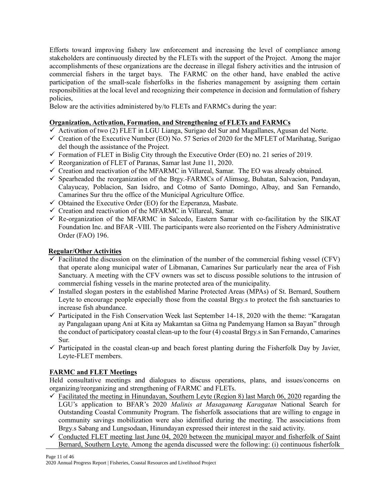Efforts toward improving fishery law enforcement and increasing the level of compliance among stakeholders are continuously directed by the FLETs with the support of the Project. Among the major accomplishments of these organizations are the decrease in illegal fishery activities and the intrusion of commercial fishers in the target bays. The FARMC on the other hand, have enabled the active participation of the small-scale fisherfolks in the fisheries management by assigning them certain responsibilities at the local level and recognizing their competence in decision and formulation of fishery policies,

Below are the activities administered by/to FLETs and FARMCs during the year:

# **Organization, Activation, Formation, and Strengthening of FLETs and FARMCs**

- $\overline{\checkmark}$  Activation of two (2) FLET in LGU Lianga, Surigao del Sur and Magallanes, Agusan del Norte.
- $\checkmark$  Creation of the Executive Number (EO) No. 57 Series of 2020 for the MFLET of Marihatag, Surigao del though the assistance of the Project.
- $\checkmark$  Formation of FLET in Bislig City through the Executive Order (EO) no. 21 series of 2019.
- $\checkmark$  Reorganization of FLET of Paranas, Samar last June 11, 2020.
- ✓ Creation and reactivation of the MFARMC in Villareal, Samar. The EO was already obtained.
- ✓ Spearheaded the reorganization of the Brgy.-FARMCs of Alimsog, Buhatan, Salvacion, Pandayan, Calayucay, Poblacion, San Isidro, and Cotmo of Santo Domingo, Albay, and San Fernando, Camarines Sur thru the office of the Municipal Agriculture Office.
- $\checkmark$  Obtained the Executive Order (EO) for the Ezperanza, Masbate.
- $\checkmark$  Creation and reactivation of the MFARMC in Villareal, Samar.
- $\checkmark$  Re-organization of the MFARMC in Salcedo, Eastern Samar with co-facilitation by the SIKAT Foundation Inc. and BFAR -VIII. The participants were also reoriented on the Fishery Administrative Order (FAO) 196.

# **Regular/Other Activities**

- $\checkmark$  Facilitated the discussion on the elimination of the number of the commercial fishing vessel (CFV) that operate along municipal water of Libmanan, Camarines Sur particularly near the area of Fish Sanctuary. A meeting with the CFV owners was set to discuss possible solutions to the intrusion of commercial fishing vessels in the marine protected area of the municipality.
- ✓ Installed slogan posters in the established Marine Protected Areas (MPAs) of St. Bernard, Southern Leyte to encourage people especially those from the coastal Brgy.s to protect the fish sanctuaries to increase fish abundance.
- $\checkmark$  Participated in the Fish Conservation Week last September 14-18, 2020 with the theme: "Karagatan ay Pangalagaan upang Ani at Kita ay Makamtan sa Gitna ng Pandemyang Hamon sa Bayan" through the conduct of participatory coastal clean-up to the four (4) coastal Brgy.s in San Fernando, Camarines Sur.
- $\checkmark$  Participated in the coastal clean-up and beach forest planting during the Fisherfolk Day by Javier, Leyte-FLET members.

## **FARMC and FLET Meetings**

Held consultative meetings and dialogues to discuss operations, plans, and issues/concerns on organizing/reorganizing and strengthening of FARMC and FLETs.

- $\checkmark$  Facilitated the meeting in Hinundayan, Southern Leyte (Region 8) last March 06, 2020 regarding the LGU's application to BFAR's 2020 *Malinis at Masaganang Karagatan* National Search for Outstanding Coastal Community Program. The fisherfolk associations that are willing to engage in community savings mobilization were also identified during the meeting. The associations from Brgy.s Sabang and Lungsodaan, Hinundayan expressed their interest in the said activity.
- $\checkmark$  Conducted FLET meeting last June 04, 2020 between the municipal mayor and fisherfolk of Saint Bernard, Southern Leyte. Among the agenda discussed were the following: (i) continuous fisherfolk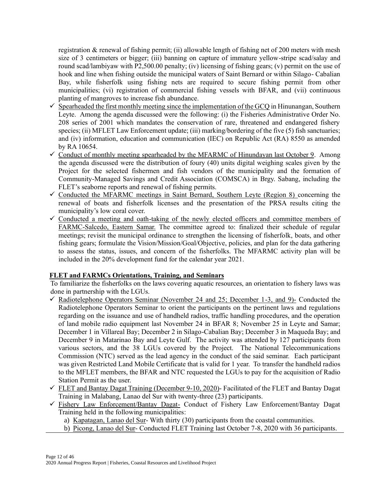registration & renewal of fishing permit; (ii) allowable length of fishing net of 200 meters with mesh size of 3 centimeters or bigger; (iii) banning on capture of immature yellow-stripe scad/salay and round scad/lambiyaw with P2,500.00 penalty; (iv) licensing of fishing gears; (v) permit on the use of hook and line when fishing outside the municipal waters of Saint Bernard or within Silago- Cabalian Bay, while fisherfolk using fishing nets are required to secure fishing permit from other municipalities; (vi) registration of commercial fishing vessels with BFAR, and (vii) continuous planting of mangroves to increase fish abundance.

- $\checkmark$  Spearheaded the first monthly meeting since the implementation of the GCQ in Hinunangan, Southern Leyte. Among the agenda discussed were the following: (i) the Fisheries Administrative Order No. 208 series of 2001 which mandates the conservation of rare, threatened and endangered fishery species; (ii) MFLET Law Enforcement update; (iii) marking/bordering of the five (5) fish sanctuaries; and (iv) information, education and communication (IEC) on Republic Act (RA) 8550 as amended by RA 10654.
- ✓ Conduct of monthly meeting spearheaded by the MFARMC of Hinundayan last October 9. Among the agenda discussed were the distribution of foury (40) units digital weighing scales given by the Project for the selected fishermen and fish vendors of the municipality and the formation of Community-Managed Savings and Credit Association (COMSCA) in Brgy. Sabang, including the FLET's seaborne reports and renewal of fishing permits.
- $\checkmark$  Conducted the MFARMC meetings in Saint Bernard, Southern Leyte (Region 8) concerning the renewal of boats and fisherfolk licenses and the presentation of the PRSA results citing the municipality's low coral cover.
- $\checkmark$  Conducted a meeting and oath-taking of the newly elected officers and committee members of FARMC-Salcedo, Eastern Samar. The committee agreed to: finalized their schedule of regular meetings; revisit the municipal ordinance to strengthen the licensing of fisherfolk, boats, and other fishing gears; formulate the Vision/Mission/Goal/Objective, policies, and plan for the data gathering to assess the status, issues, and concern of the fisherfolks. The MFARMC activity plan will be included in the 20% development fund for the calendar year 2021.

## **FLET and FARMCs Orientations, Training, and Seminars**

To familiarize the fisherfolks on the laws covering aquatic resources, an orientation to fishery laws was done in partnership with the LGUs.

- $\checkmark$  Radiotelephone Operators Seminar (November 24 and 25; December 1-3, and 9)- Conducted the Radiotelephone Operators Seminar to orient the participants on the pertinent laws and regulations regarding on the issuance and use of handheld radios, traffic handling procedures, and the operation of land mobile radio equipment last November 24 in BFAR 8; November 25 in Leyte and Samar; December 1 in Villareal Bay; December 2 in Silago-Cabalian Bay; December 3 in Maqueda Bay; and December 9 in Matarinao Bay and Leyte Gulf. The activity was attended by 127 participants from various sectors, and the 38 LGUs covered by the Project. The National Telecommunications Commission (NTC) served as the lead agency in the conduct of the said seminar. Each participant was given Restricted Land Mobile Certificate that is valid for 1 year. To transfer the handheld radios to the MFLET members, the BFAR and NTC requested the LGUs to pay for the acquisition of Radio Station Permit as the user.
- $\checkmark$  FLET and Bantay Dagat Training (December 9-10, 2020)- Facilitated of the FLET and Bantay Dagat Training in Malabang, Lanao del Sur with twenty-three (23) participants.
- ✓ Fishery Law Enforcement/Bantay Dagat- Conduct of Fishery Law Enforcement/Bantay Dagat Training held in the following municipalities:
	- a) Kapatagan, Lanao del Sur- With thirty (30) participants from the coastal communities.
	- b) Picong, Lanao del Sur- Conducted FLET Training last October 7-8, 2020 with 36 participants.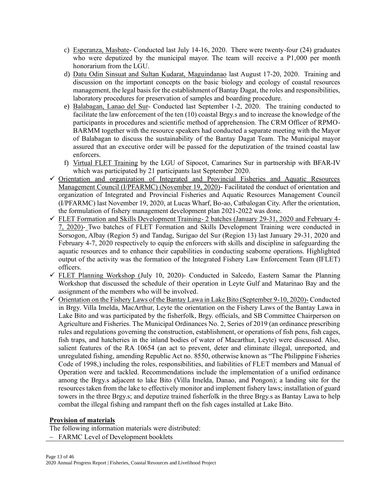- c) Esperanza, Masbate- Conducted last July 14-16, 2020. There were twenty-four (24) graduates who were deputized by the municipal mayor. The team will receive a P1,000 per month honorarium from the LGU.
- d) Datu Odin Sinsuat and Sultan Kudarat, Maguindanao last August 17-20, 2020. Training and discussion on the important concepts on the basic biology and ecology of coastal resources management, the legal basis for the establishment of Bantay Dagat, the roles and responsibilities, laboratory procedures for preservation of samples and boarding procedure.
- e) Balabagan, Lanao del Sur- Conducted last September 1-2, 2020. The training conducted to facilitate the law enforcement of the ten (10) coastal Brgy.s and to increase the knowledge of the participants in procedures and scientific method of apprehension. The CRM Officer of RPMO-BARMM together with the resource speakers had conducted a separate meeting with the Mayor of Balabagan to discuss the sustainability of the Bantay Dagat Team. The Municipal mayor assured that an executive order will be passed for the deputization of the trained coastal law enforcers.
- f) Virtual FLET Training by the LGU of Sipocot, Camarines Sur in partnership with BFAR-IV which was participated by 21 participants last September 2020.
- ✓ Orientation and organization of Integrated and Provincial Fisheries and Aquatic Resources Management Council (I/PFARMC) (November 19, 2020)- Facilitated the conduct of orientation and organization of Integrated and Provincial Fisheries and Aquatic Resources Management Council (I/PFARMC) last November 19, 2020, at Lucas Wharf, Bo-ao, Catbalogan City. After the orientation, the formulation of fishery management development plan 2021-2022 was done.
- ✓ FLET Formation and Skills Development Training- 2 batches (January 29-31, 2020 and February 4- 7, 2020)- Two batches of FLET Formation and Skills Development Training were conducted in Sorsogon, Albay (Region 5) and Tandag, Surigao del Sur (Region 13) last January 29-31, 2020 and February 4-7, 2020 respectively to equip the enforcers with skills and discipline in safeguarding the aquatic resources and to enhance their capabilities in conducting seaborne operations. Highlighted output of the activity was the formation of the Integrated Fishery Law Enforcement Team (IFLET) officers.
- $\checkmark$  FLET Planning Workshop (July 10, 2020)- Conducted in Salcedo, Eastern Samar the Planning Workshop that discussed the schedule of their operation in Leyte Gulf and Matarinao Bay and the assignment of the members who will be involved.
- $\checkmark$  Orientation on the Fishery Laws of the Bantay Lawa in Lake Bito (September 9-10, 2020)- Conducted in Brgy. Villa Imelda, MacArthur, Leyte the orientation on the Fishery Laws of the Bantay Lawa in Lake Bito and was participated by the fisherfolk, Brgy. officials, and SB Committee Chairperson on Agriculture and Fisheries. The Municipal Ordinances No. 2, Series of 2019 (an ordinance prescribing rules and regulations governing the construction, establishment, or operations of fish pens, fish cages, fish traps, and hatcheries in the inland bodies of water of Macarthur, Leyte) were discussed. Also, salient features of the RA 10654 (an act to prevent, deter and eliminate illegal, unreported, and unregulated fishing, amending Republic Act no. 8550, otherwise known as "The Philippine Fisheries Code of 1998,) including the roles, responsibilities, and liabilities of FLET members and Manual of Operation were and tackled. Recommendations include the implementation of a unified ordinance among the Brgy.s adjacent to lake Bito (Villa Imelda, Danao, and Pongon); a landing site for the resources taken from the lake to effectively monitor and implement fishery laws; installation of guard towers in the three Brgy.s; and deputize trained fisherfolk in the three Brgy.s as Bantay Lawa to help combat the illegal fishing and rampant theft on the fish cages installed at Lake Bito.

# **Provision of materials**

The following information materials were distributed: − FARMC Level of Development booklets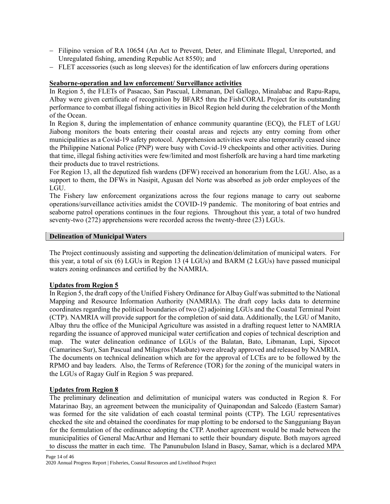- − Filipino version of RA 10654 (An Act to Prevent, Deter, and Eliminate Illegal, Unreported, and Unregulated fishing, amending Republic Act 8550); and
- − FLET accessories (such as long sleeves) for the identification of law enforcers during operations

# **Seaborne-operation and law enforcement/ Surveillance activities**

In Region 5, the FLETs of Pasacao, San Pascual, Libmanan, Del Gallego, Minalabac and Rapu-Rapu, Albay were given certificate of recognition by BFAR5 thru the FishCORAL Project for its outstanding performance to combat illegal fishing activities in Bicol Region held during the celebration of the Month of the Ocean.

In Region 8, during the implementation of enhance community quarantine (ECQ), the FLET of LGU Jiabong monitors the boats entering their coastal areas and rejects any entry coming from other municipalities as a Covid-19 safety protocol. Apprehension activities were also temporarily ceased since the Philippine National Police (PNP) were busy with Covid-19 checkpoints and other activities. During that time, illegal fishing activities were few/limited and most fisherfolk are having a hard time marketing their products due to travel restrictions.

For Region 13, all the deputized fish wardens (DFW) received an honorarium from the LGU. Also, as a support to them, the DFWs in Nasipit, Agusan del Norte was absorbed as job order employees of the LGU.

The Fishery law enforcement organizations across the four regions manage to carry out seaborne operations/surveillance activities amidst the COVID-19 pandemic. The monitoring of boat entries and seaborne patrol operations continues in the four regions. Throughout this year, a total of two hundred seventy-two (272) apprehensions were recorded across the twenty-three (23) LGUs.

#### **Delineation of Municipal Waters**

The Project continuously assisting and supporting the delineation/delimitation of municipal waters. For this year, a total of six (6) LGUs in Region 13 (4 LGUs) and BARM (2 LGUs) have passed municipal waters zoning ordinances and certified by the NAMRIA.

## **Updates from Region 5**

In Region 5, the draft copy of the Unified Fishery Ordinance for Albay Gulf was submitted to the National Mapping and Resource Information Authority (NAMRIA). The draft copy lacks data to determine coordinates regarding the political boundaries of two (2) adjoining LGUs and the Coastal Terminal Point (CTP). NAMRIA will provide support for the completion of said data. Additionally, the LGU of Manito, Albay thru the office of the Municipal Agriculture was assisted in a drafting request letter to NAMRIA regarding the issuance of approved municipal water certification and copies of technical description and map. The water delineation ordinance of LGUs of the Balatan, Bato, Libmanan, Lupi, Sipocot (Camarines Sur), San Pascual and Milagros (Masbate) were already approved and released by NAMRIA. The documents on technical delineation which are for the approval of LCEs are to be followed by the RPMO and bay leaders. Also, the Terms of Reference (TOR) for the zoning of the municipal waters in the LGUs of Ragay Gulf in Region 5 was prepared.

## **Updates from Region 8**

The preliminary delineation and delimitation of municipal waters was conducted in Region 8. For Matarinao Bay, an agreement between the municipality of Quinapondan and Salcedo (Eastern Samar) was formed for the site validation of each coastal terminal points (CTP). The LGU representatives checked the site and obtained the coordinates for map plotting to be endorsed to the Sangguniang Bayan for the formulation of the ordinance adopting the CTP. Another agreement would be made between the municipalities of General MacArthur and Hernani to settle their boundary dispute. Both mayors agreed to discuss the matter in each time. The Panunubulon Island in Basey, Samar, which is a declared MPA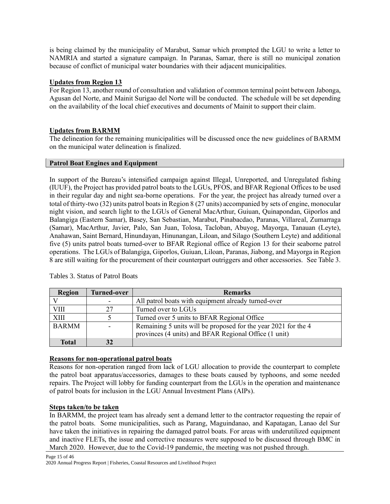is being claimed by the municipality of Marabut, Samar which prompted the LGU to write a letter to NAMRIA and started a signature campaign. In Paranas, Samar, there is still no municipal zonation because of conflict of municipal water boundaries with their adjacent municipalities.

# **Updates from Region 13**

For Region 13, another round of consultation and validation of common terminal point between Jabonga, Agusan del Norte, and Mainit Surigao del Norte will be conducted. The schedule will be set depending on the availability of the local chief executives and documents of Mainit to support their claim.

# **Updates from BARMM**

The delineation for the remaining municipalities will be discussed once the new guidelines of BARMM on the municipal water delineation is finalized.

## **Patrol Boat Engines and Equipment**

In support of the Bureau's intensified campaign against Illegal, Unreported, and Unregulated fishing (IUUF), the Project has provided patrol boats to the LGUs, PFOS, and BFAR Regional Offices to be used in their regular day and night sea-borne operations. For the year, the project has already turned over a total of thirty-two (32) units patrol boats in Region 8 (27 units) accompanied by sets of engine, monocular night vision, and search light to the LGUs of General MacArthur, Guiuan, Quinapondan, Giporlos and Balangiga (Eastern Samar), Basey, San Sebastian, Marabut, Pinabacdao, Paranas, Villareal, Zumarraga (Samar), MacArthur, Javier, Palo, San Juan, Tolosa, Tacloban, Abuyog, Mayorga, Tanauan (Leyte), Anahawan, Saint Bernard, Hinundayan, Hinunangan, Liloan, and Silago (Southern Leyte) and additional five (5) units patrol boats turned-over to BFAR Regional office of Region 13 for their seaborne patrol operations. The LGUs of Balangiga, Giporlos, Guiuan, Liloan, Paranas, Jiabong, and Mayorga in Region 8 are still waiting for the procurement of their counterpart outriggers and other accessories. See Table 3.

| Region       | <b>Turned-over</b> | <b>Remarks</b>                                                 |
|--------------|--------------------|----------------------------------------------------------------|
|              |                    | All patrol boats with equipment already turned-over            |
| VIII         | 27                 | Turned over to LGUs                                            |
| <b>XIII</b>  |                    | Turned over 5 units to BFAR Regional Office                    |
| <b>BARMM</b> |                    | Remaining 5 units will be proposed for the year 2021 for the 4 |
|              |                    | provinces (4 units) and BFAR Regional Office (1 unit)          |
| Total        |                    |                                                                |

## Tables 3. Status of Patrol Boats

## **Reasons for non-operational patrol boats**

Reasons for non-operation ranged from lack of LGU allocation to provide the counterpart to complete the patrol boat apparatus/accessories, damages to these boats caused by typhoons, and some needed repairs. The Project will lobby for funding counterpart from the LGUs in the operation and maintenance of patrol boats for inclusion in the LGU Annual Investment Plans (AIPs).

## **Steps taken/to be taken**

In BARMM, the project team has already sent a demand letter to the contractor requesting the repair of the patrol boats. Some municipalities, such as Parang, Maguindanao, and Kapatagan, Lanao del Sur have taken the initiatives in repairing the damaged patrol boats. For areas with underutilized equipment and inactive FLETs, the issue and corrective measures were supposed to be discussed through BMC in March 2020. However, due to the Covid-19 pandemic, the meeting was not pushed through.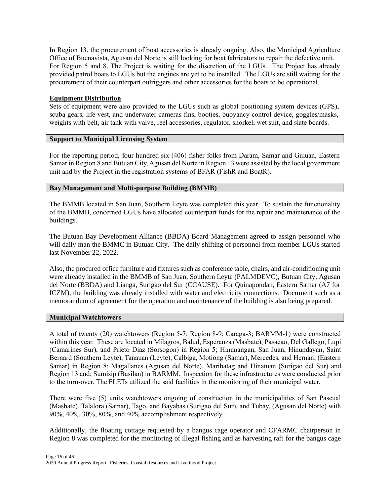In Region 13, the procurement of boat accessories is already ongoing. Also, the Municipal Agriculture Office of Buenavista, Agusan del Norte is still looking for boat fabricators to repair the defective unit. For Region 5 and 8, The Project is waiting for the discretion of the LGUs. The Project has already provided patrol boats to LGUs but the engines are yet to be installed. The LGUs are still waiting for the procurement of their counterpart outriggers and other accessories for the boats to be operational.

## **Equipment Distribution**

Sets of equipment were also provided to the LGUs such as global positioning system devices (GPS), scuba gears, life vest, and underwater cameras fins, booties, buoyancy control device, goggles/masks, weights with belt, air tank with valve, reel accessories, regulator, snorkel, wet suit, and slate boards.

#### **Support to Municipal Licensing System**

For the reporting period, four hundred six (406) fisher folks from Daram, Samar and Guiuan, Eastern Samar in Region 8 and Butuan City, Agusan del Norte in Region 13 were assisted by the local government unit and by the Project in the registration systems of BFAR (FishR and BoatR).

#### **Bay Management and Multi-purpose Building (BMMB)**

The BMMB located in San Juan, Southern Leyte was completed this year. To sustain the functionality of the BMMB, concerned LGUs have allocated counterpart funds for the repair and maintenance of the buildings.

The Butuan Bay Development Alliance (BBDA) Board Management agreed to assign personnel who will daily man the BMMC in Butuan City. The daily shifting of personnel from member LGUs started last November 22, 2022.

Also, the procured office furniture and fixtures such as conference table, chairs, and air-conditioning unit were already installed in the BMMB of San Juan, Southern Leyte (PALMDEVC), Butuan City, Agusan del Norte (BBDA) and Lianga, Surigao del Sur (CCAUSE). For Quinapondan, Eastern Samar (A7 for ICZM), the building was already installed with water and electricity connections. Document such as a memorandum of agreement for the operation and maintenance of the building is also being prepared.

#### **Municipal Watchtowers**

A total of twenty (20) watchtowers (Region 5-7; Region 8-9; Caraga-3; BARMM-1) were constructed within this year. These are located in Milagros, Balud, Esperanza (Masbate), Pasacao, Del Gallego, Lupi (Camarines Sur), and Prieto Diaz (Sorsogon) in Region 5; Hinunangan, San Juan, Hinundayan, Saint Bernard (Southern Leyte), Tanauan (Leyte), Calbiga, Motiong (Samar), Mercedes, and Hernani (Eastern Samar) in Region 8; Magallanes (Agusan del Norte), Marihatag and Hinatuan (Surigao del Sur) and Region 13 and; Sumisip (Basilan) in BARMM. Inspection for these infrastructures were conducted prior to the turn-over. The FLETs utilized the said facilities in the monitoring of their municipal water.

There were five (5) units watchtowers ongoing of construction in the municipalities of San Pascual (Masbate), Talalora (Samar), Tago, and Bayabas (Surigao del Sur), and Tubay, (Agusan del Norte) with 90%, 40%, 30%, 80%, and 40% accomplishment respectively.

Additionally, the floating cottage requested by a bangus cage operator and CFARMC chairperson in Region 8 was completed for the monitoring of illegal fishing and as harvesting raft for the bangus cage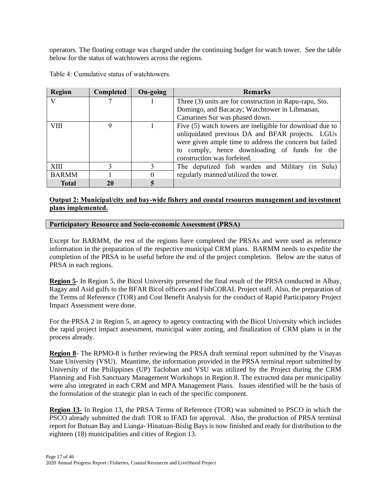operators. The floating cottage was charged under the continuing budget for watch tower. See the table below for the status of watchtowers across the regions.

| <b>Region</b> | Completed | On-going | <b>Remarks</b>                                           |  |  |
|---------------|-----------|----------|----------------------------------------------------------|--|--|
| $\mathbf{V}$  |           |          | Three (3) units are for construction in Rapu-rapu, Sto.  |  |  |
|               |           |          | Domingo, and Bacacay; Watchtower in Libmanan,            |  |  |
|               |           |          | Camarines Sur was phased down.                           |  |  |
| <b>VIII</b>   | Q         |          | Five (5) watch towers are ineligible for download due to |  |  |
|               |           |          | unliquidated previous DA and BFAR projects. LGUs         |  |  |
|               |           |          | were given ample time to address the concern but failed  |  |  |
|               |           |          | to comply, hence downloading of funds for the            |  |  |
|               |           |          | construction was forfeited.                              |  |  |
| <b>XIII</b>   |           |          | The deputized fish warden and Military (in<br>Sulu)      |  |  |
| <b>BARMM</b>  |           |          | regularly manned/utilized the tower.                     |  |  |
| <b>Total</b>  | 20        | 5        |                                                          |  |  |

Table 4: Cumulative status of watchtowers.

# **Output 2: Municipal/city and bay-wide fishery and coastal resources management and investment plans implemented.**

#### **Participatory Resource and Socio-economic Assessment (PRSA)**

Except for BARMM, the rest of the regions have completed the PRSAs and were used as reference information in the preparation of the respective municipal CRM plans. BARMM needs to expedite the completion of the PRSA to be useful before the end of the project completion. Below are the status of PRSA in each regions.

**Region 5**- In Region 5, the Bicol University presented the final result of the PRSA conducted in Albay, Ragay and Asid gulfs to the BFAR Bicol officers and FishCORAL Project staff. Also, the preparation of the Terms of Reference (TOR) and Cost Benefit Analysis for the conduct of Rapid Participatory Project Impact Assessment were done.

For the PRSA 2 in Region 5, an agency to agency contracting with the Bicol University which includes the rapid project impact assessment, municipal water zoning, and finalization of CRM plans is in the process already.

**Region 8**- The RPMO-8 is further reviewing the PRSA draft terminal report submitted by the Visayas State University (VSU). Meantime, the information provided in the PRSA terminal report submitted by University of the Philippines (UP) Tacloban and VSU was utilized by the Project during the CRM Planning and Fish Sanctuary Management Workshops in Region 8. The extracted data per municipality were also integrated in each CRM and MPA Management Plans. Issues identified will be the basis of the formulation of the strategic plan in each of the specific component.

**Region 13-** In Region 13, the PRSA Terms of Reference (TOR) was submitted to PSCO in which the PSCO already submitted the draft TOR to IFAD for approval. Also, the production of PRSA terminal report for Butuan Bay and Lianga- Hinatuan-Bislig Bays is now finished and ready for distribution to the eighteen (18) municipalities and cities of Region 13.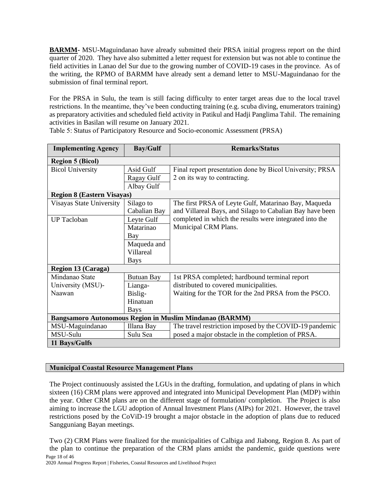**BARMM-** MSU-Maguindanao have already submitted their PRSA initial progress report on the third quarter of 2020. They have also submitted a letter request for extension but was not able to continue the field activities in Lanao del Sur due to the growing number of COVID-19 cases in the province. As of the writing, the RPMO of BARMM have already sent a demand letter to MSU-Maguindanao for the submission of final terminal report.

For the PRSA in Sulu, the team is still facing difficulty to enter target areas due to the local travel restrictions. In the meantime, they've been conducting training (e.g. scuba diving, enumerators training) as preparatory activities and scheduled field activity in Patikul and Hadji Panglima Tahil. The remaining activities in Basilan will resume on January 2021.

| <b>Implementing Agency</b>        | <b>Bay/Gulf</b>   | <b>Remarks/Status</b>                                    |
|-----------------------------------|-------------------|----------------------------------------------------------|
| <b>Region 5 (Bicol)</b>           |                   |                                                          |
| <b>Bicol University</b>           | Asid Gulf         | Final report presentation done by Bicol University; PRSA |
|                                   | Ragay Gulf        | 2 on its way to contracting.                             |
|                                   | Albay Gulf        |                                                          |
| <b>Region 8 (Eastern Visayas)</b> |                   |                                                          |
| Visayas State University          | Silago to         | The first PRSA of Leyte Gulf, Matarinao Bay, Maqueda     |
|                                   | Cabalian Bay      | and Villareal Bays, and Silago to Cabalian Bay have been |
| <b>UP</b> Tacloban                | Leyte Gulf        | completed in which the results were integrated into the  |
|                                   | Matarinao         | Municipal CRM Plans.                                     |
|                                   | Bay               |                                                          |
|                                   | Maqueda and       |                                                          |
|                                   | Villareal         |                                                          |
|                                   | <b>Bays</b>       |                                                          |
| <b>Region 13 (Caraga)</b>         |                   |                                                          |
| Mindanao State                    | <b>Butuan Bay</b> | 1st PRSA completed; hardbound terminal report            |
| University (MSU)-                 | Lianga-           | distributed to covered municipalities.                   |
| Naawan                            | Bislig-           | Waiting for the TOR for the 2nd PRSA from the PSCO.      |
|                                   | Hinatuan          |                                                          |
|                                   | <b>Bays</b>       |                                                          |
|                                   |                   | Bangsamoro Autonomous Region in Muslim Mindanao (BARMM)  |
| MSU-Maguindanao                   | Illana Bay        | The travel restriction imposed by the COVID-19 pandemic  |
| MSU-Sulu                          | Sulu Sea          | posed a major obstacle in the completion of PRSA.        |
| 11 Bays/Gulfs                     |                   |                                                          |

Table 5: Status of Participatory Resource and Socio-economic Assessment (PRSA)

## **Municipal Coastal Resource Management Plans**

The Project continuously assisted the LGUs in the drafting, formulation, and updating of plans in which sixteen (16) CRM plans were approved and integrated into Municipal Development Plan (MDP) within the year. Other CRM plans are on the different stage of formulation/ completion. The Project is also aiming to increase the LGU adoption of Annual Investment Plans (AIPs) for 2021. However, the travel restrictions posed by the CoViD-19 brought a major obstacle in the adoption of plans due to reduced Sangguniang Bayan meetings.

Page 18 of 46 Two (2) CRM Plans were finalized for the municipalities of Calbiga and Jiabong, Region 8. As part of the plan to continue the preparation of the CRM plans amidst the pandemic, guide questions were

2020 Annual Progress Report | Fisheries, Coastal Resources and Livelihood Project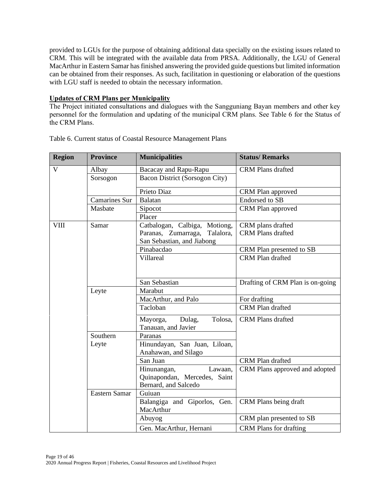provided to LGUs for the purpose of obtaining additional data specially on the existing issues related to CRM. This will be integrated with the available data from PRSA. Additionally, the LGU of General MacArthur in Eastern Samar has finished answering the provided guide questions but limited information can be obtained from their responses. As such, facilitation in questioning or elaboration of the questions with LGU staff is needed to obtain the necessary information.

## **Updates of CRM Plans per Municipality**

The Project initiated consultations and dialogues with the Sangguniang Bayan members and other key personnel for the formulation and updating of the municipal CRM plans. See Table 6 for the Status of the CRM Plans.

| <b>Region</b> | <b>Province</b>      | <b>Municipalities</b>                                          | <b>Status/Remarks</b>            |
|---------------|----------------------|----------------------------------------------------------------|----------------------------------|
| V             | Albay                | Bacacay and Rapu-Rapu                                          | <b>CRM Plans drafted</b>         |
|               | Sorsogon             | Bacon District (Sorsogon City)                                 |                                  |
|               |                      | Prieto Diaz                                                    | CRM Plan approved                |
|               | <b>Camarines Sur</b> | <b>Balatan</b>                                                 | <b>Endorsed</b> to SB            |
|               | Masbate              | Sipocot                                                        | CRM Plan approved                |
|               |                      | Placer                                                         |                                  |
| VIII          | Samar                | Catbalogan, Calbiga,<br>Motiong,                               | CRM plans drafted                |
|               |                      | Paranas, Zumarraga,<br>Talalora,<br>San Sebastian, and Jiabong | <b>CRM Plans drafted</b>         |
|               |                      | Pinabacdao                                                     | CRM Plan presented to SB         |
|               |                      | Villareal                                                      | <b>CRM Plan drafted</b>          |
|               |                      |                                                                |                                  |
|               |                      | San Sebastian                                                  | Drafting of CRM Plan is on-going |
|               | Leyte                | Marabut                                                        |                                  |
|               |                      | MacArthur, and Palo                                            | For drafting                     |
|               |                      | Tacloban                                                       | <b>CRM Plan drafted</b>          |
|               |                      | Mayorga,<br>Tolosa,<br>Dulag,                                  | <b>CRM Plans drafted</b>         |
|               | Southern             | Tanauan, and Javier                                            |                                  |
|               |                      | Paranas                                                        |                                  |
|               | Leyte                | Hinundayan, San Juan, Liloan,<br>Anahawan, and Silago          |                                  |
|               |                      | San Juan                                                       | CRM Plan drafted                 |
|               |                      | Hinunangan,<br>Lawaan,                                         | CRM Plans approved and adopted   |
|               |                      | Quinapondan, Mercedes, Saint                                   |                                  |
|               |                      | Bernard, and Salcedo                                           |                                  |
|               | Eastern Samar        | Guiuan                                                         |                                  |
|               |                      | Balangiga and Giporlos, Gen.<br>MacArthur                      | CRM Plans being draft            |
|               |                      | Abuyog                                                         | CRM plan presented to SB         |
|               |                      | Gen. MacArthur, Hernani                                        | <b>CRM Plans for drafting</b>    |

Table 6. Current status of Coastal Resource Management Plans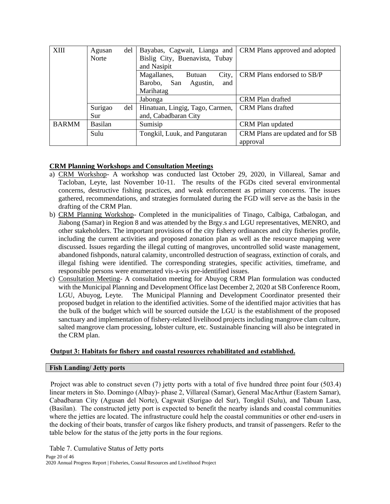| <b>XIII</b>  | del<br>Agusan<br><b>Norte</b> | Bayabas, Cagwait, Lianga and<br>Bislig City, Buenavista, Tubay | CRM Plans approved and adopted   |
|--------------|-------------------------------|----------------------------------------------------------------|----------------------------------|
|              |                               | and Nasipit                                                    |                                  |
|              |                               | City,<br>Magallanes,<br><b>Butuan</b>                          | CRM Plans endorsed to SB/P       |
|              |                               | Agustin,<br>Barobo, San<br>and                                 |                                  |
|              |                               | Marihatag                                                      |                                  |
|              |                               | Jabonga                                                        | CRM Plan drafted                 |
|              | Surigao<br>del                | Hinatuan, Lingig, Tago, Carmen,                                | <b>CRM Plans drafted</b>         |
|              | Sur                           | and, Cabadbaran City                                           |                                  |
| <b>BARMM</b> | <b>Basilan</b>                | Sumisip                                                        | CRM Plan updated                 |
|              | Sulu                          | Tongkil, Luuk, and Pangutaran                                  | CRM Plans are updated and for SB |
|              |                               |                                                                | approval                         |

# **CRM Planning Workshops and Consultation Meetings**

- a) CRM Workshop- A workshop was conducted last October 29, 2020, in Villareal, Samar and Tacloban, Leyte, last November 10-11. The results of the FGDs cited several environmental concerns, destructive fishing practices, and weak enforcement as primary concerns. The issues gathered, recommendations, and strategies formulated during the FGD will serve as the basis in the drafting of the CRM Plan.
- b) CRM Planning Workshop- Completed in the municipalities of Tinago, Calbiga, Catbalogan, and Jiabong (Samar) in Region 8 and was attended by the Brgy.s and LGU representatives, MENRO, and other stakeholders. The important provisions of the city fishery ordinances and city fisheries profile, including the current activities and proposed zonation plan as well as the resource mapping were discussed. Issues regarding the illegal cutting of mangroves, uncontrolled solid waste management, abandoned fishponds, natural calamity, uncontrolled destruction of seagrass, extinction of corals, and illegal fishing were identified. The corresponding strategies, specific activities, timeframe, and responsible persons were enumerated vis-a-vis pre-identified issues.
- c) Consultation Meeting- A consultation meeting for Abuyog CRM Plan formulation was conducted with the Municipal Planning and Development Office last December 2, 2020 at SB Conference Room, LGU, Abuyog, Leyte. The Municipal Planning and Development Coordinator presented their proposed budget in relation to the identified activities. Some of the identified major activities that has the bulk of the budget which will be sourced outside the LGU is the establishment of the proposed sanctuary and implementation of fishery-related livelihood projects including mangrove clam culture, salted mangrove clam processing, lobster culture, etc. Sustainable financing will also be integrated in the CRM plan.

# **Output 3: Habitats for fishery and coastal resources rehabilitated and established.**

# **Fish Landing/ Jetty ports**

Project was able to construct seven (7) jetty ports with a total of five hundred three point four (503.4) linear meters in Sto. Domingo (Albay)- phase 2, Villareal (Samar), General MacArthur (Eastern Samar), Cabadbaran City (Agusan del Norte), Cagwait (Surigao del Sur), Tongkil (Sulu), and Tabuan Lasa, (Basilan). The constructed jetty port is expected to benefit the nearby islands and coastal communities where the jetties are located. The infrastructure could help the coastal communities or other end-users in the docking of their boats, transfer of cargos like fishery products, and transit of passengers. Refer to the table below for the status of the jetty ports in the four regions.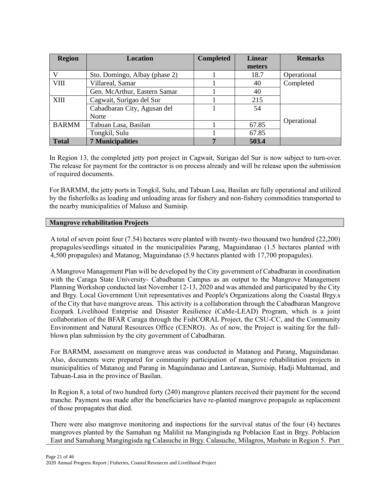| <b>Region</b> | <b>Location</b>               | <b>Completed</b> | <b>Linear</b> | <b>Remarks</b> |  |
|---------------|-------------------------------|------------------|---------------|----------------|--|
|               |                               |                  | meters        |                |  |
| V             | Sto. Domingo, Albay (phase 2) |                  | 18.7          | Operational    |  |
| <b>VIII</b>   | Villareal, Samar              |                  | 40            | Completed      |  |
|               | Gen. McArthur, Eastern Samar  |                  | 40            |                |  |
| <b>XIII</b>   | Cagwait, Surigao del Sur      |                  | 215           |                |  |
|               | Cabadbaran City, Agusan del   |                  | 54            |                |  |
|               | Norte                         |                  |               |                |  |
| <b>BARMM</b>  | Tabuan Lasa, Basilan          |                  | 67.85         | Operational    |  |
|               | Tongkil, Sulu                 |                  | 67.85         |                |  |
| <b>Total</b>  | <b>7 Municipalities</b>       | 7                | 503.4         |                |  |

In Region 13, the completed jetty port project in Cagwait, Surigao del Sur is now subject to turn-over. The release for payment for the contractor is on process already and will be release upon the submission of required documents.

For BARMM, the jetty ports in Tongkil, Sulu, and Tabuan Lasa, Basilan are fully operational and utilized by the fisherfolks as loading and unloading areas for fishery and non-fishery commodities transported to the nearby municipalities of Maluso and Sumisip.

## **Mangrove rehabilitation Projects**

A total of seven point four (7.54) hectares were planted with twenty-two thousand two hundred (22,200) propagules/seedlings situated in the municipalities Parang, Maguindanao (1.5 hectares planted with 4,500 propagules) and Matanog, Maguindanao (5.9 hectares planted with 17,700 propagules).

A Mangrove Management Plan will be developed by the City government of Cabadbaran in coordination with the Caraga State University- Cabadbaran Campus as an output to the Mangrove Management Planning Workshop conducted last November 12-13, 2020 and was attended and participated by the City and Brgy. Local Government Unit representatives and People's Organizations along the Coastal Brgy.s of the City that have mangrove areas. This activity is a collaboration through the Cabadbaran Mangrove Ecopark Livelihood Enteprise and Disaster Resilience (CaMe-LEAD) Program, which is a joint collaboration of the BFAR Caraga through the FishCORAL Project, the CSU-CC, and the Community Environment and Natural Resources Office (CENRO). As of now, the Project is waiting for the fullblown plan submission by the city government of Cabadbaran.

For BARMM, assessment on mangrove areas was conducted in Matanog and Parang, Maguindanao. Also, documents were prepared for community participation of mangrove rehabilitation projects in municipalities of Matanog and Parang in Maguindanao and Lantawan, Sumisip, Hadji Muhtamad, and Tabuan-Lasa in the province of Basilan.

In Region 8, a total of two hundred forty (240) mangrove planters received their payment for the second tranche. Payment was made after the beneficiaries have re-planted mangrove propagule as replacement of those propagates that died.

There were also mangrove monitoring and inspections for the survival status of the four (4) hectares mangroves planted by the Samahan ng Maliliit na Mangingisda ng Poblacion East in Brgy. Poblacion East and Samahang Mangingisda ng Calasuche in Brgy. Calasuche, Milagros, Masbate in Region 5. Part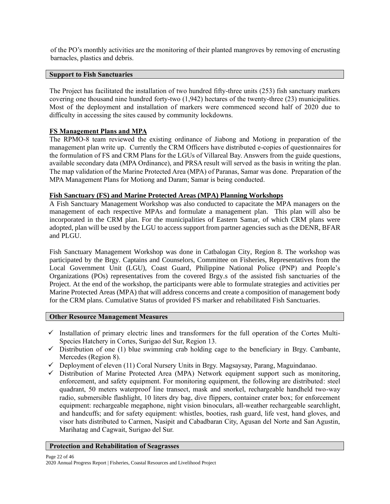of the PO's monthly activities are the monitoring of their planted mangroves by removing of encrusting barnacles, plastics and debris.

## **Support to Fish Sanctuaries**

The Project has facilitated the installation of two hundred fifty-three units (253) fish sanctuary markers covering one thousand nine hundred forty-two (1,942) hectares of the twenty-three (23) municipalities. Most of the deployment and installation of markers were commenced second half of 2020 due to difficulty in accessing the sites caused by community lockdowns.

## **FS Management Plans and MPA**

The RPMO-8 team reviewed the existing ordinance of Jiabong and Motiong in preparation of the management plan write up. Currently the CRM Officers have distributed e-copies of questionnaires for the formulation of FS and CRM Plans for the LGUs of Villareal Bay. Answers from the guide questions, available secondary data (MPA Ordinance), and PRSA result will served as the basis in writing the plan. The map validation of the Marine Protected Area (MPA) of Paranas, Samar was done. Preparation of the MPA Management Plans for Motiong and Daram; Samar is being conducted.

#### **Fish Sanctuary (FS) and Marine Protected Areas (MPA) Planning Workshops**

A Fish Sanctuary Management Workshop was also conducted to capacitate the MPA managers on the management of each respective MPAs and formulate a management plan. This plan will also be incorporated in the CRM plan. For the municipalities of Eastern Samar, of which CRM plans were adopted, plan will be used by the LGU to access support from partner agencies such as the DENR, BFAR and PLGU.

Fish Sanctuary Management Workshop was done in Catbalogan City, Region 8. The workshop was participated by the Brgy. Captains and Counselors, Committee on Fisheries, Representatives from the Local Government Unit (LGU), Coast Guard, Philippine National Police (PNP) and People's Organizations (POs) representatives from the covered Brgy.s of the assisted fish sanctuaries of the Project. At the end of the workshop, the participants were able to formulate strategies and activities per Marine Protected Areas (MPA) that will address concerns and create a composition of management body for the CRM plans. Cumulative Status of provided FS marker and rehabilitated Fish Sanctuaries.

## **Other Resource Management Measures**

- $\checkmark$  Installation of primary electric lines and transformers for the full operation of the Cortes Multi-Species Hatchery in Cortes, Surigao del Sur, Region 13.
- $\checkmark$  Distribution of one (1) blue swimming crab holding cage to the beneficiary in Brgy. Cambante, Mercedes (Region 8).
- $\checkmark$  Deployment of eleven (11) Coral Nursery Units in Brgy. Magsaysay, Parang, Maguindanao.
- ✓ Distribution of Marine Protected Area (MPA) Network equipment support such as monitoring, enforcement, and safety equipment. For monitoring equipment, the following are distributed: steel quadrant, 50 meters waterproof line transect, mask and snorkel, rechargeable handheld two-way radio, submersible flashlight, 10 liters dry bag, dive flippers, container crater box; for enforcement equipment: rechargeable megaphone, night vision binoculars, all-weather rechargeable searchlight, and handcuffs; and for safety equipment: whistles, booties, rash guard, life vest, hand gloves, and visor hats distributed to Carmen, Nasipit and Cabadbaran City, Agusan del Norte and San Agustin, Marihatag and Cagwait, Surigao del Sur.

#### **Protection and Rehabilitation of Seagrasses**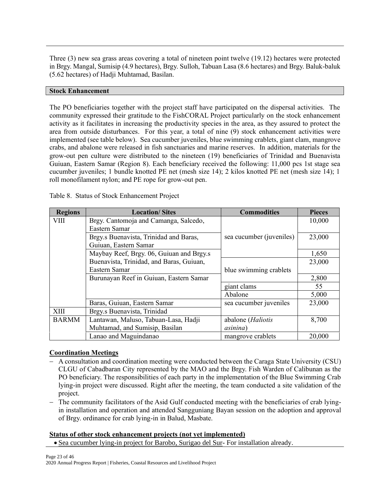Three (3) new sea grass areas covering a total of nineteen point twelve (19.12) hectares were protected in Brgy. Mangal, Sumisip (4.9 hectares), Brgy. Sulloh, Tabuan Lasa (8.6 hectares) and Brgy. Baluk-baluk (5.62 hectares) of Hadji Muhtamad, Basilan.

# **Stock Enhancement**

The PO beneficiaries together with the project staff have participated on the dispersal activities. The community expressed their gratitude to the FishCORAL Project particularly on the stock enhancement activity as it facilitates in increasing the productivity species in the area, as they assured to protect the area from outside disturbances. For this year, a total of nine (9) stock enhancement activities were implemented (see table below). Sea cucumber juveniles, blue swimming crablets, giant clam, mangrove crabs, and abalone were released in fish sanctuaries and marine reserves. In addition, materials for the grow-out pen culture were distributed to the nineteen (19) beneficiaries of Trinidad and Buenavista Guiuan, Eastern Samar (Region 8). Each beneficiary received the following: 11,000 pcs 1st stage sea cucumber juveniles; 1 bundle knotted PE net (mesh size 14); 2 kilos knotted PE net (mesh size 14); 1 roll monofilament nylon; and PE rope for grow-out pen.

| <b>Regions</b> | <b>Location/Sites</b>                    | <b>Commodities</b>                | <b>Pieces</b> |
|----------------|------------------------------------------|-----------------------------------|---------------|
| VIII           | Brgy. Cantomoja and Camanga, Salcedo,    |                                   | 10,000        |
|                | Eastern Samar                            |                                   |               |
|                | Brgy.s Buenavista, Trinidad and Baras,   | sea cucumber ( <i>juveniles</i> ) | 23,000        |
|                | Guiuan, Eastern Samar                    |                                   |               |
|                | Maybay Reef, Brgy. 06, Guiuan and Brgy.s |                                   | 1,650         |
|                | Buenavista, Trinidad, and Baras, Guiuan, |                                   | 23,000        |
|                | Eastern Samar                            | blue swimming crablets            |               |
|                | Burunayan Reef in Guiuan, Eastern Samar  |                                   | 2,800         |
|                |                                          | giant clams                       | 55            |
|                |                                          | Abalone                           | 5,000         |
|                | Baras, Guiuan, Eastern Samar             | sea cucumber juveniles            | 23,000        |
| XIII           | Brgy.s Buenavista, Trinidad              |                                   |               |
| <b>BARMM</b>   | Lantawan, Maluso, Tabuan-Lasa, Hadji     | abalone ( <i>Haliotis</i>         | 8,700         |
|                | Muhtamad, and Sumisip, Basilan           | <i>asinina</i> )                  |               |
|                | Lanao and Maguindanao                    | mangrove crablets                 | 20,000        |

Table 8. Status of Stock Enhancement Project

# **Coordination Meetings**

- − A consultation and coordination meeting were conducted between the Caraga State University (CSU) CLGU of Cabadbaran City represented by the MAO and the Brgy. Fish Warden of Calibunan as the PO beneficiary. The responsibilities of each party in the implementation of the Blue Swimming Crab lying-in project were discussed. Right after the meeting, the team conducted a site validation of the project.
- − The community facilitators of the Asid Gulf conducted meeting with the beneficiaries of crab lyingin installation and operation and attended Sangguniang Bayan session on the adoption and approval of Brgy. ordinance for crab lying-in in Balud, Masbate.

## **Status of other stock enhancement projects (not yet implemented)**

• Sea cucumber lying-in project for Barobo, Surigao del Sur- For installation already.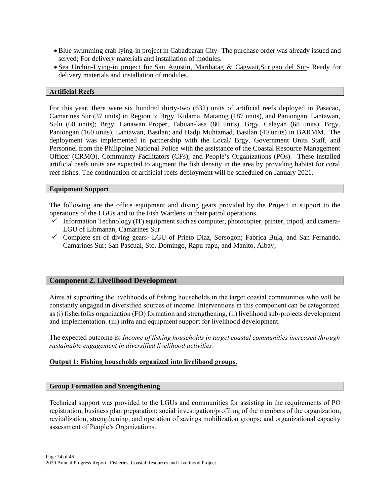- Blue swimming crab lying-in project in Cabadbaran City- The purchase order was already issued and served; For delivery materials and installation of modules.
- Sea Urchin-Lying-in project for San Agustin, Marihatag & Cagwait,Surigao del Sur- Ready for delivery materials and installation of modules.

#### **Artificial Reefs**

For this year, there were six hundred thirty-two (632) units of artificial reefs deployed in Pasacao, Camarines Sur (37 units) in Region 5; Brgy. Kidama, Matanog (187 units), and Paniongan, Lantawan, Sulu (60 units); Brgy. Lanawan Proper, Tabuan-lasa (80 units), Brgy. Calayan (68 units), Brgy. Paniongan (160 units), Lantawan, Basilan; and Hadji Muhtamad, Basilan (40 units) in BARMM. The deployment was implemented in partnership with the Local/ Brgy. Government Units Staff, and Personnel from the Philippine National Police with the assistance of the Coastal Resource Management Officer (CRMO), Community Facilitators (CFs), and People's Organizations (POs). These installed artificial reefs units are expected to augment the fish density in the area by providing habitat for coral reef fishes. The continuation of artificial reefs deployment will be scheduled on January 2021.

## **Equipment Support**

The following are the office equipment and diving gears provided by the Project in support to the operations of the LGUs and to the Fish Wardens in their patrol operations.

- $\checkmark$  Information Technology (IT) equipment such as computer, photocopier, printer, tripod, and camera-LGU of Libmanan, Camarines Sur.
- ✓ Complete set of diving gears- LGU of Prieto Diaz, Sorsogon; Fabrica Bula, and San Fernando, Camarines Sur; San Pascual, Sto. Domingo, Rapu-rapu, and Manito, Albay;

# **Component 2. Livelihood Development**

Aims at supporting the livelihoods of fishing households in the target coastal communities who will be constantly engaged in diversified sources of income. Interventions in this component can be categorized as (i) fisherfolks organization (FO) formation and strengthening, (ii) livelihood sub-projects development and implementation. (iii) infra and equipment support for livelihood development.

The expected outcome is: *Income of fishing households in target coastal communities increased through sustainable engagement in diversified livelihood activities*.

## **Output 1: Fishing households organized into livelihood groups.**

#### **Group Formation and Strengthening**

Technical support was provided to the LGUs and communities for assisting in the requirements of PO registration, business plan preparation; social investigation/profiling of the members of the organization, revitalization, strengthening, and operation of savings mobilization groups; and organizational capacity assessment of People's Organizations.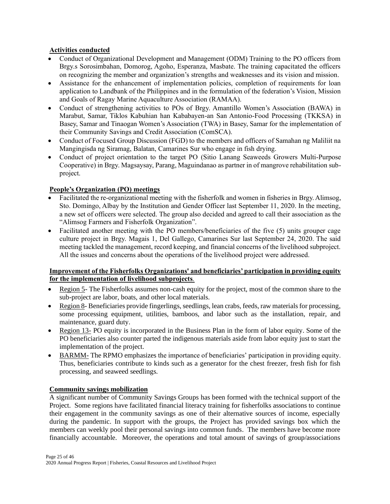# **Activities conducted**

- Conduct of Organizational Development and Management (ODM) Training to the PO officers from Brgy.s Sorosimbahan, Domorog, Agoho, Esperanza, Masbate. The training capacitated the officers on recognizing the member and organization's strengths and weaknesses and its vision and mission.
- Assistance for the enhancement of implementation policies, completion of requirements for loan application to Landbank of the Philippines and in the formulation of the federation's Vision, Mission and Goals of Ragay Marine Aquaculture Association (RAMAA).
- Conduct of strengthening activities to POs of Brgy. Amantillo Women's Association (BAWA) in Marabut, Samar, Tiklos Kabuhian han Kababayen-an San Antonio-Food Processing (TKKSA) in Basey, Samar and Tinaogan Women's Association (TWA) in Basey, Samar for the implementation of their Community Savings and Credit Association (ComSCA).
- Conduct of Focused Group Discussion (FGD) to the members and officers of Samahan ng Maliliit na Mangingisda ng Siramag, Balatan, Camarines Sur who engage in fish drying.
- Conduct of project orientation to the target PO (Sitio Lanang Seaweeds Growers Multi-Purpose Cooperative) in Brgy. Magsaysay, Parang, Maguindanao as partner in of mangrove rehabilitation subproject.

# **People's Organization (PO) meetings**

- Facilitated the re-organizational meeting with the fisherfolk and women in fisheries in Brgy. Alimsog, Sto. Domingo, Albay by the Institution and Gender Officer last September 11, 2020. In the meeting, a new set of officers were selected. The group also decided and agreed to call their association as the "Alimsog Farmers and Fisherfolk Organization".
- Facilitated another meeting with the PO members/beneficiaries of the five (5) units grouper cage culture project in Brgy. Magais 1, Del Gallego, Camarines Sur last September 24, 2020. The said meeting tackled the management, record keeping, and financial concerns of the livelihood subproject. All the issues and concerns about the operations of the livelihood project were addressed.

# **Improvement of the Fisherfolks Organizations' and beneficiaries' participation in providing equity for the implementation of livelihood subprojects***.*

- Region 5- The Fisherfolks assumes non-cash equity for the project, most of the common share to the sub-project are labor, boats, and other local materials.
- Region 8- Beneficiaries provide fingerlings, seedlings, lean crabs, feeds, raw materials for processing, some processing equipment, utilities, bamboos, and labor such as the installation, repair, and maintenance, guard duty.
- Region 13- PO equity is incorporated in the Business Plan in the form of labor equity. Some of the PO beneficiaries also counter parted the indigenous materials aside from labor equity just to start the implementation of the project.
- BARMM- The RPMO emphasizes the importance of beneficiaries' participation in providing equity. Thus, beneficiaries contribute to kinds such as a generator for the chest freezer, fresh fish for fish processing, and seaweed seedlings.

## **Community savings mobilization**

A significant number of Community Savings Groups has been formed with the technical support of the Project. Some regions have facilitated financial literacy training for fisherfolks associations to continue their engagement in the community savings as one of their alternative sources of income, especially during the pandemic. In support with the groups, the Project has provided savings box which the members can weekly pool their personal savings into common funds. The members have become more financially accountable. Moreover, the operations and total amount of savings of group/associations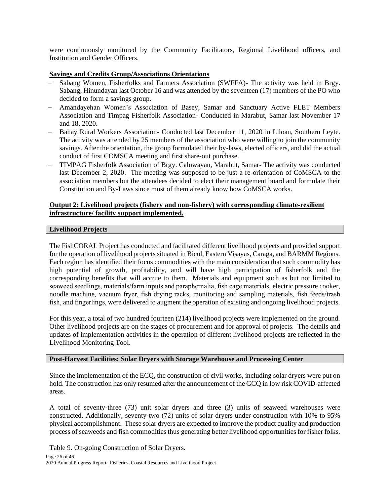were continuously monitored by the Community Facilitators, Regional Livelihood officers, and Institution and Gender Officers.

## **Savings and Credits Group/Associations Orientations**

- − Sabang Women, Fisherfolks and Farmers Association (SWFFA)- The activity was held in Brgy. Sabang, Hinundayan last October 16 and was attended by the seventeen (17) members of the PO who decided to form a savings group.
- − Amandayehan Women's Association of Basey, Samar and Sanctuary Active FLET Members Association and Timpag Fisherfolk Association- Conducted in Marabut, Samar last November 17 and 18, 2020.
- − Bahay Rural Workers Association- Conducted last December 11, 2020 in Liloan, Southern Leyte. The activity was attended by 25 members of the association who were willing to join the community savings. After the orientation, the group formulated their by-laws, elected officers, and did the actual conduct of first COMSCA meeting and first share-out purchase.
- − TIMPAG Fisherfolk Association of Brgy. Caluwayan, Marabut, Samar- The activity was conducted last December 2, 2020. The meeting was supposed to be just a re-orientation of CoMSCA to the association members but the attendees decided to elect their management board and formulate their Constitution and By-Laws since most of them already know how CoMSCA works.

## **Output 2: Livelihood projects (fishery and non-fishery) with corresponding climate-resilient infrastructure/ facility support implemented.**

#### **Livelihood Projects**

The FishCORAL Project has conducted and facilitated different livelihood projects and provided support for the operation of livelihood projects situated in Bicol, Eastern Visayas, Caraga, and BARMM Regions. Each region has identified their focus commodities with the main consideration that such commodity has high potential of growth, profitability, and will have high participation of fisherfolk and the corresponding benefits that will accrue to them. Materials and equipment such as but not limited to seaweed seedlings, materials/farm inputs and paraphernalia, fish cage materials, electric pressure cooker, noodle machine, vacuum fryer, fish drying racks, monitoring and sampling materials, fish feeds/trash fish, and fingerlings, were delivered to augment the operation of existing and ongoing livelihood projects.

For this year, a total of two hundred fourteen (214) livelihood projects were implemented on the ground. Other livelihood projects are on the stages of procurement and for approval of projects. The details and updates of implementation activities in the operation of different livelihood projects are reflected in the Livelihood Monitoring Tool.

#### **Post-Harvest Facilities: Solar Dryers with Storage Warehouse and Processing Center**

Since the implementation of the ECQ, the construction of civil works, including solar dryers were put on hold. The construction has only resumed after the announcement of the GCQ in low risk COVID-affected areas.

A total of seventy-three (73) unit solar dryers and three (3) units of seaweed warehouses were constructed. Additionally, seventy-two (72) units of solar dryers under construction with 10% to 95% physical accomplishment. These solar dryers are expected to improve the product quality and production process of seaweeds and fish commodities thus generating better livelihood opportunities for fisher folks.

Table 9. On-going Construction of Solar Dryers.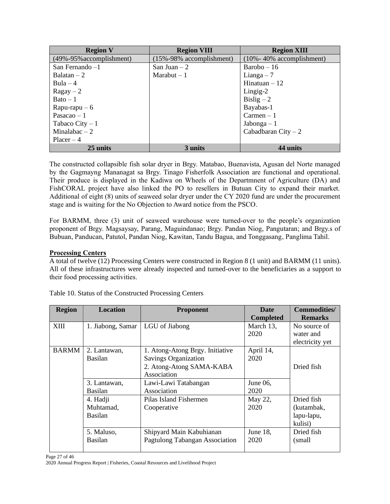| <b>Region V</b>          | <b>Region VIII</b>             | <b>Region XIII</b>             |
|--------------------------|--------------------------------|--------------------------------|
| (49%-95% accomplishment) | $(15\% - 98\%$ accomplishment) | $(10\% - 40\%$ accomplishment) |
| San Fernando $-1$        | San Juan $-2$                  | $Barobo - 16$                  |
| Balatan $-2$             | Marabut $-1$                   | Lianga $-7$                    |
| Bula $-4$                |                                | Hinatuan $-12$                 |
| $Ragay - 2$              |                                | Lingig-2                       |
| $\text{Bato} - 1$        |                                | Bislig $-2$                    |
| $R$ apu-rapu $-6$        |                                | Bayabas-1                      |
| Pasacao $-1$             |                                | $Carmen - 1$                   |
| Tabaco City $-1$         |                                | $Jabonga-1$                    |
| Minalabac $-2$           |                                | Cabadbaran City $-2$           |
| $Placer-4$               |                                |                                |
| 25 units                 | 3 units                        | 44 units                       |

The constructed collapsible fish solar dryer in Brgy. Matabao, Buenavista, Agusan del Norte managed by the Gagmayng Mananagat sa Brgy. Tinago Fisherfolk Association are functional and operational. Their produce is displayed in the Kadiwa on Wheels of the Departmnent of Agriculture (DA) and FishCORAL project have also linked the PO to resellers in Butuan City to expand their market. Additional of eight (8) units of seaweed solar dryer under the CY 2020 fund are under the procurement stage and is waiting for the No Objection to Award notice from the PSCO.

For BARMM, three (3) unit of seaweed warehouse were turned-over to the people's organization proponent of Brgy. Magsaysay, Parang, Maguindanao; Brgy. Pandan Niog, Pangutaran; and Brgy.s of Bubuan, Panducan, Patutol, Pandan Niog, Kawitan, Tandu Bagua, and Tonggasang, Panglima Tahil.

## **Processing Centers**

A total of twelve (12) Processing Centers were constructed in Region 8 (1 unit) and BARMM (11 units). All of these infrastructures were already inspected and turned-over to the beneficiaries as a support to their food processing activities.

| <b>Region</b> | <b>Location</b>   | <b>Proponent</b>                | <b>Date</b>      | <b>Commodities/</b> |
|---------------|-------------------|---------------------------------|------------------|---------------------|
|               |                   |                                 | <b>Completed</b> | <b>Remarks</b>      |
| XIII          | 1. Jiabong, Samar | LGU of Jiabong                  | March 13,        | No source of        |
|               |                   |                                 | 2020             | water and           |
|               |                   |                                 |                  | electricity yet     |
| <b>BARMM</b>  | 2. Lantawan,      | 1. Atong-Atong Brgy. Initiative | April 14,        |                     |
|               | <b>Basilan</b>    | <b>Savings Organization</b>     | 2020             |                     |
|               |                   | 2. Atong-Atong SAMA-KABA        |                  | Dried fish          |
|               |                   | Association                     |                  |                     |
|               | 3. Lantawan,      | Lawi-Lawi Tatabangan            | June 06,         |                     |
|               | <b>Basilan</b>    | Association                     | 2020             |                     |
|               | 4. Hadji          | Pilas Island Fishermen          | May 22,          | Dried fish          |
|               | Muhtamad,         | Cooperative                     | 2020             | (kutambak,          |
|               | <b>Basilan</b>    |                                 |                  | lapu-lapu,          |
|               |                   |                                 |                  | kulisi)             |
|               | 5. Maluso,        | Shipyard Main Kabuhianan        | June 18,         | Dried fish          |
|               | <b>Basilan</b>    | Pagtulong Tabangan Association  | 2020             | (small              |
|               |                   |                                 |                  |                     |

Table 10. Status of the Constructed Processing Centers

Page 27 of 46 2020 Annual Progress Report | Fisheries, Coastal Resources and Livelihood Project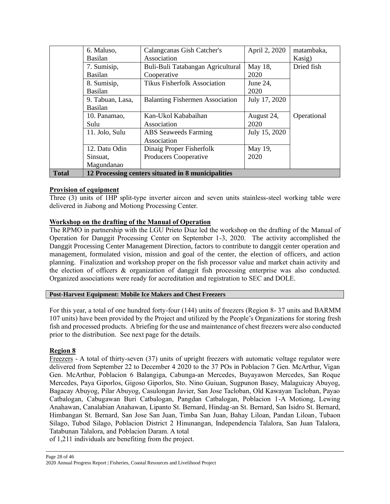|              | 6. Maluso,       | Calangcanas Gish Catcher's                         | April 2, 2020 | matambaka,  |
|--------------|------------------|----------------------------------------------------|---------------|-------------|
|              | <b>Basilan</b>   | Association                                        |               | Kasig)      |
|              | 7. Sumisip,      | Buli-Buli Tatabangan Agricultural                  | May 18,       | Dried fish  |
|              | <b>Basilan</b>   | Cooperative                                        | 2020          |             |
|              | 8. Sumisip,      | <b>Tikus Fisherfolk Association</b>                | June 24,      |             |
|              | <b>Basilan</b>   |                                                    | 2020          |             |
|              | 9. Tabuan, Lasa, | <b>Balanting Fishermen Association</b>             | July 17, 2020 |             |
|              | <b>Basilan</b>   |                                                    |               |             |
|              | 10. Panamao,     | Kan-Ukol Kababaihan                                | August 24,    | Operational |
|              | Sulu             | Association                                        | 2020          |             |
|              | 11. Jolo, Sulu   | <b>ABS</b> Seaweeds Farming                        | July 15, 2020 |             |
|              |                  | Association                                        |               |             |
|              | 12. Datu Odin    | Dinaig Proper Fisherfolk                           | May 19,       |             |
|              | Sinsuat,         | Producers Cooperative                              | 2020          |             |
|              | Magundanao       |                                                    |               |             |
| <b>Total</b> |                  | 12 Processing centers situated in 8 municipalities |               |             |

## **Provision of equipment**

Three (3) units of 1HP split-type inverter aircon and seven units stainless-steel working table were delivered in Jiabong and Motiong Processing Center.

## **Workshop on the drafting of the Manual of Operation**

The RPMO in partnership with the LGU Prieto Diaz led the workshop on the drafting of the Manual of Operation for Danggit Processing Center on September 1-3, 2020. The activity accomplished the Danggit Processing Center Management Direction, factors to contribute to danggit center operation and management, formulated vision, mission and goal of the center, the election of officers, and action planning. Finalization and workshop proper on the fish processor value and market chain activity and the election of officers & organization of danggit fish processing enterprise was also conducted. Organized associations were ready for accreditation and registration to SEC and DOLE.

#### **Post-Harvest Equipment: Mobile Ice Makers and Chest Freezers**

For this year, a total of one hundred forty-four (144) units of freezers (Region 8- 37 units and BARMM 107 units) have been provided by the Project and utilized by the People's Organizations for storing fresh fish and processed products. A briefing for the use and maintenance of chest freezers were also conducted prior to the distribution. See next page for the details.

#### **Region 8**

Freezers - A total of thirty-seven (37) units of upright freezers with automatic voltage regulator were delivered from September 22 to December 4 2020 to the 37 POs in Poblacion 7 Gen. McArthur, Vigan Gen. McArthur, Poblacion 6 Balangiga, Cabunga-an Mercedes, Buyayawon Mercedes, San Roque Mercedes, Paya Giporlos, Gigoso Giporlos, Sto. Nino Guiuan, Sugpunon Basey, Malaguicay Abuyog, Bagacay Abuyog, Pilar Abuyog, Casulongan Javier, San Jose Tacloban, Old Kawayan Tacloban, Payao Catbalogan, Cabugawan Buri Catbalogan, Pangdan Catbalogan, Poblacion 1-A Motiong, Lewing Anahawan, Canalabian Anahawan, Lipanto St. Bernard, Hindag-an St. Bernard, San Isidro St. Bernard, Himbangan St. Bernard, San Jose San Juan, Timba San Juan, Bahay Liloan, Pandan Liloan, Tubaon Silago, Tubod Silago, Poblacion District 2 Hinunangan, Independencia Talalora, San Juan Talalora, Tatabunan Talalora, and Poblacion Daram. A total

of 1,211 individuals are benefiting from the project.

Page 28 of 46

<sup>2020</sup> Annual Progress Report | Fisheries, Coastal Resources and Livelihood Project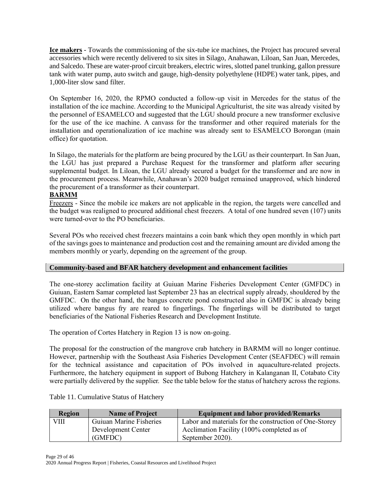**Ice makers** - Towards the commissioning of the six-tube ice machines, the Project has procured several accessories which were recently delivered to six sites in Silago, Anahawan, Liloan, San Juan, Mercedes, and Salcedo. These are water-proof circuit breakers, electric wires, slotted panel trunking, gallon pressure tank with water pump, auto switch and gauge, high-density polyethylene (HDPE) water tank, pipes, and 1,000-liter slow sand filter.

On September 16, 2020, the RPMO conducted a follow-up visit in Mercedes for the status of the installation of the ice machine. According to the Municipal Agriculturist, the site was already visited by the personnel of ESAMELCO and suggested that the LGU should procure a new transformer exclusive for the use of the ice machine. A canvass for the transformer and other required materials for the installation and operationalization of ice machine was already sent to ESAMELCO Borongan (main office) for quotation.

In Silago, the materials for the platform are being procured by the LGU as their counterpart. In San Juan, the LGU has just prepared a Purchase Request for the transformer and platform after securing supplemental budget. In Liloan, the LGU already secured a budget for the transformer and are now in the procurement process. Meanwhile, Anahawan's 2020 budget remained unapproved, which hindered the procurement of a transformer as their counterpart.

## **BARMM**

Freezers - Since the mobile ice makers are not applicable in the region, the targets were cancelled and the budget was realigned to procured additional chest freezers. A total of one hundred seven (107) units were turned-over to the PO beneficiaries.

Several POs who received chest freezers maintains a coin bank which they open monthly in which part of the savings goes to maintenance and production cost and the remaining amount are divided among the members monthly or yearly, depending on the agreement of the group.

## **Community-based and BFAR hatchery development and enhancement facilities**

The one-storey acclimation facility at Guiuan Marine Fisheries Development Center (GMFDC) in Guiuan, Eastern Samar completed last September 23 has an electrical supply already, shouldered by the GMFDC. On the other hand, the bangus concrete pond constructed also in GMFDC is already being utilized where bangus fry are reared to fingerlings. The fingerlings will be distributed to target beneficiaries of the National Fisheries Research and Development Institute.

The operation of Cortes Hatchery in Region 13 is now on-going.

The proposal for the construction of the mangrove crab hatchery in BARMM will no longer continue. However, partnership with the Southeast Asia Fisheries Development Center (SEAFDEC) will remain for the technical assistance and capacitation of POs involved in aquaculture-related projects. Furthermore, the hatchery equipment in support of Bubong Hatchery in Kalanganan II, Cotabato City were partially delivered by the supplier. See the table below for the status of hatchery across the regions.

| <b>Region</b> | <b>Name of Project</b>  | <b>Equipment and labor provided/Remarks</b>            |
|---------------|-------------------------|--------------------------------------------------------|
| VIII          | Guiuan Marine Fisheries | Labor and materials for the construction of One-Storey |
|               | Development Center      | Acclimation Facility (100% completed as of             |
|               | (GMFDC)                 | September 2020).                                       |

Table 11. Cumulative Status of Hatchery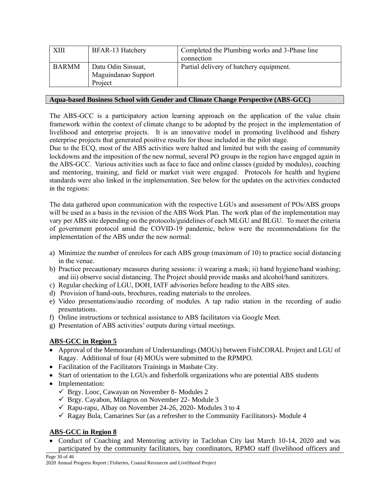| XIII         | <b>BFAR-13 Hatchery</b>                              | Completed the Plumbing works and 3-Phase line<br>connection |
|--------------|------------------------------------------------------|-------------------------------------------------------------|
| <b>BARMM</b> | Datu Odin Sinsuat,<br>Maguindanao Support<br>Project | Partial delivery of hatchery equipment.                     |

## **Aqua-based Business School with Gender and Climate Change Perspective (ABS-GCC)**

The ABS-GCC is a participatory action learning approach on the application of the value chain framework within the context of climate change to be adopted by the project in the implementation of livelihood and enterprise projects. It is an innovative model in promoting livelihood and fishery enterprise projects that generated positive results for those included in the pilot stage.

Due to the ECQ, most of the ABS activities were halted and limited but with the easing of community lockdowns and the imposition of the new normal, several PO groups in the region have engaged again in the ABS-GCC. Various activities such as face to face and online classes (guided by modules), coaching and mentoring, training, and field or market visit were engaged. Protocols for health and hygiene standards were also linked in the implementation. See below for the updates on the activities conducted in the regions:

The data gathered upon communication with the respective LGUs and assessment of POs/ABS groups will be used as a basis in the revision of the ABS Work Plan. The work plan of the implementation may vary per ABS site depending on the protocols/guidelines of each MLGU and BLGU. To meet the criteria of government protocol amid the COVID-19 pandemic, below were the recommendations for the implementation of the ABS under the new normal:

- a) Minimize the number of enrolees for each ABS group (maximum of 10) to practice social distancing in the venue.
- b) Practice precautionary measures during sessions: i) wearing a mask; ii) hand hygiene/hand washing; and iii) observe social distancing. The Project should provide masks and alcohol/hand sanitizers.
- c) Regular checking of LGU, DOH, IATF advisories before heading to the ABS sites.
- d) Provision of hand-outs, brochures, reading materials to the enrolees.
- e) Video presentations/audio recording of modules. A tap radio station in the recording of audio presentations.
- f) Online instructions or technical assistance to ABS facilitators via Google Meet.
- g) Presentation of ABS activities' outputs during virtual meetings.

# **ABS-GCC in Region 5**

- Approval of the Memorandum of Understandings (MOUs) between FishCORAL Project and LGU of Ragay. Additional of four (4) MOUs were submitted to the RPMPO.
- Facilitation of the Facilitators Trainings in Masbate City.
- Start of orientation to the LGUs and fisherfolk organizations who are potential ABS students
- Implementation:
	- ✓ Brgy. Looc, Cawayan on November 8- Modules 2
	- $\checkmark$  Brgy. Cayabon, Milagros on November 22- Module 3
	- $\checkmark$  Rapu-rapu, Albay on November 24-26, 2020-Modules 3 to 4
	- $\checkmark$  Ragay Bula, Camarines Sur (as a refresher to the Community Facilitators)- Module 4

## **ABS-GCC in Region 8**

• Conduct of Coaching and Mentoring activity in Tacloban City last March 10-14, 2020 and was participated by the community facilitators, bay coordinators, RPMO staff (livelihood officers and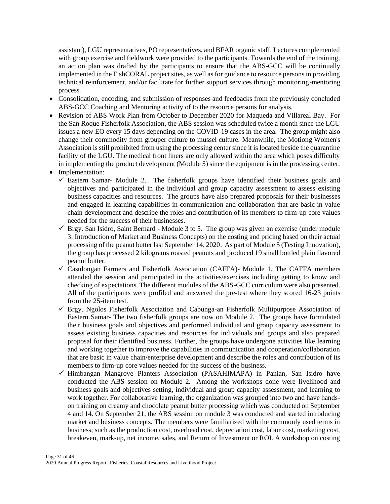assistant), LGU representatives, PO representatives, and BFAR organic staff. Lectures complemented with group exercise and fieldwork were provided to the participants. Towards the end of the training, an action plan was drafted by the participants to ensure that the ABS-GCC will be continually implemented in the FishCORAL project sites, as well as for guidance to resource persons in providing technical reinforcement, and/or facilitate for further support services through monitoring-mentoring process.

- Consolidation, encoding, and submission of responses and feedbacks from the previously concluded ABS-GCC Coaching and Mentoring activity of to the resource persons for analysis.
- Revision of ABS Work Plan from October to December 2020 for Maqueda and Villareal Bay. For the San Roque Fisherfolk Association, the ABS session was scheduled twice a month since the LGU issues a new EO every 15 days depending on the COVID-19 cases in the area. The group might also change their commodity from grouper culture to mussel culture. Meanwhile, the Motiong Women's Association is still prohibited from using the processing center since it is located beside the quarantine facility of the LGU. The medical front liners are only allowed within the area which poses difficulty in implementing the product development (Module 5) since the equipment is in the processing center.
- Implementation:
	- $\checkmark$  Eastern Samar- Module 2. The fisherfolk groups have identified their business goals and objectives and participated in the individual and group capacity assessment to assess existing business capacities and resources. The groups have also prepared proposals for their businesses and engaged in learning capabilities in communication and collaboration that are basic in value chain development and describe the roles and contribution of its members to firm-up core values needed for the success of their businesses.
	- $\checkmark$  Brgy. San Isidro, Saint Bernard Module 3 to 5. The group was given an exercise (under module 3: Introduction of Market and Business Concepts) on the costing and pricing based on their actual processing of the peanut butter last September 14, 2020. As part of Module 5 (Testing Innovation), the group has processed 2 kilograms roasted peanuts and produced 19 small bottled plain flavored peanut butter.
	- $\checkmark$  Casulongan Farmers and Fisherfolk Association (CAFFA)- Module 1. The CAFFA members attended the session and participated in the activities/exercises including getting to know and checking of expectations. The different modules of the ABS-GCC curriculum were also presented. All of the participants were profiled and answered the pre-test where they scored 16-23 points from the 25-item test.
	- $\checkmark$  Brgy. Ngolos Fisherfolk Association and Cabunga-an Fisherfolk Multipurpose Association of Eastern Samar- The two fisherfolk groups are now on Module 2. The groups have formulated their business goals and objectives and performed individual and group capacity assessment to assess existing business capacities and resources for individuals and groups and also prepared proposal for their identified business. Further, the groups have undergone activities like learning and working together to improve the capabilities in communication and cooperation/collaboration that are basic in value chain/enterprise development and describe the roles and contribution of its members to firm-up core values needed for the success of the business.
	- ✓ Himbangan Mangrove Planters Association (PASAHIMAPA) in Panian, San Isidro have conducted the ABS session on Module 2. Among the workshops done were livelihood and business goals and objectives setting, individual and group capacity assessment, and learning to work together. For collaborative learning, the organization was grouped into two and have handson training on creamy and chocolate peanut butter processing which was conducted on September 4 and 14. On September 21, the ABS session on module 3 was conducted and started introducing market and business concepts. The members were familiarized with the commonly used terms in business; such as the production cost, overhead cost, depreciation cost, labor cost, marketing cost, breakeven, mark-up, net income, sales, and Return of Investment or ROI. A workshop on costing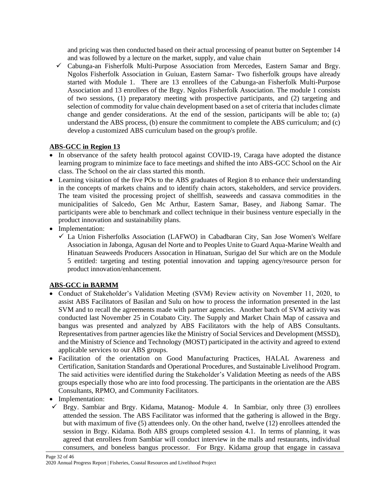and pricing was then conducted based on their actual processing of peanut butter on September 14 and was followed by a lecture on the market, supply, and value chain

✓ Cabunga-an Fisherfolk Multi-Purpose Association from Mercedes, Eastern Samar and Brgy. Ngolos Fisherfolk Association in Guiuan, Eastern Samar- Two fisherfolk groups have already started with Module 1. There are 13 enrollees of the Cabunga-an Fisherfolk Multi-Purpose Association and 13 enrollees of the Brgy. Ngolos Fisherfolk Association. The module 1 consists of two sessions, (1) preparatory meeting with prospective participants, and (2) targeting and selection of commodity for value chain development based on a set of criteria that includes climate change and gender considerations. At the end of the session, participants will be able to; (a) understand the ABS process, (b) ensure the commitment to complete the ABS curriculum; and (c) develop a customized ABS curriculum based on the group's profile.

# **ABS-GCC in Region 13**

- In observance of the safety health protocol against COVID-19, Caraga have adopted the distance learning program to minimize face to face meetings and shifted the into ABS-GCC School on the Air class. The School on the air class started this month.
- Learning visitation of the five POs to the ABS graduates of Region 8 to enhance their understanding in the concepts of markets chains and to identify chain actors, stakeholders, and service providers. The team visited the processing project of shellfish, seaweeds and cassava commodities in the municipalities of Salcedo, Gen Mc Arthur, Eastern Samar, Basey, and Jiabong Samar. The participants were able to benchmark and collect technique in their business venture especially in the product innovation and sustainability plans.
- Implementation:
	- $\checkmark$  La Union Fisherfolks Association (LAFWO) in Cabadbaran City, San Jose Women's Welfare Association in Jabonga, Agusan del Norte and to Peoples Unite to Guard Aqua-Marine Wealth and Hinatuan Seaweeds Producers Assocation in Hinatuan, Surigao del Sur which are on the Module 5 entitled: targeting and testing potential innovation and tapping agency/resource person for product innovation/enhancement.

# **ABS-GCC in BARMM**

- Conduct of Stakeholder's Validation Meeting (SVM) Review activity on November 11, 2020, to assist ABS Facilitators of Basilan and Sulu on how to process the information presented in the last SVM and to recall the agreements made with partner agencies. Another batch of SVM activity was conducted last November 25 in Cotabato City. The Supply and Market Chain Map of cassava and bangus was presented and analyzed by ABS Facilitators with the help of ABS Consultants. Representatives from partner agencies like the Ministry of Social Services and Development (MSSD), and the Ministry of Science and Technology (MOST) participated in the activity and agreed to extend applicable services to our ABS groups.
- Facilitation of the orientation on Good Manufacturing Practices, HALAL Awareness and Certification, Sanitation Standards and Operational Procedures, and Sustainable Livelihood Program. The said activities were identified during the Stakeholder's Validation Meeting as needs of the ABS groups especially those who are into food processing. The participants in the orientation are the ABS Consultants, RPMO, and Community Facilitators.
- Implementation:
- ✓ Brgy. Sambiar and Brgy. Kidama, Matanog- Module 4. In Sambiar, only three (3) enrollees attended the session. The ABS Facilitator was informed that the gathering is allowed in the Brgy. but with maximum of five (5) attendees only. On the other hand, twelve (12) enrollees attended the session in Brgy. Kidama. Both ABS groups completed session 4.1. In terms of planning, it was agreed that enrollees from Sambiar will conduct interview in the malls and restaurants, individual consumers, and boneless bangus processor. For Brgy. Kidama group that engage in cassava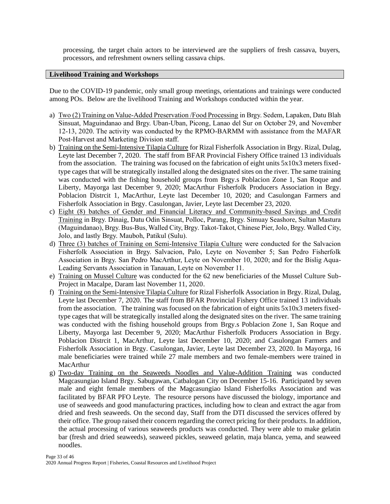processing, the target chain actors to be interviewed are the suppliers of fresh cassava, buyers, processors, and refreshment owners selling cassava chips.

#### **Livelihood Training and Workshops**

Due to the COVID-19 pandemic, only small group meetings, orientations and trainings were conducted among POs. Below are the livelihood Training and Workshops conducted within the year.

- a) Two (2) Training on Value-Added Preservation /Food Processing in Brgy. Sedem, Lapaken, Datu Blah Sinsuat, Maguindanao and Brgy. Uban-Uban, Picong, Lanao del Sur on October 29, and November 12-13, 2020. The activity was conducted by the RPMO-BARMM with assistance from the MAFAR Post-Harvest and Marketing Division staff.
- b) Training on the Semi-Intensive Tilapia Culture for Rizal Fisherfolk Association in Brgy. Rizal, Dulag, Leyte last December 7, 2020. The staff from BFAR Provincial Fishery Office trained 13 individuals from the association. The training was focused on the fabrication of eight units 5x10x3 meters fixedtype cages that will be strategically installed along the designated sites on the river. The same training was conducted with the fishing household groups from Brgy.s Poblacion Zone 1, San Roque and Liberty, Mayorga last December 9, 2020; MacArthur Fisherfolk Producers Association in Brgy. Poblacion Distrcit 1, MacArthur, Leyte last December 10, 2020; and Casulongan Farmers and Fisherfolk Association in Brgy. Casulongan, Javier, Leyte last December 23, 2020.
- c) Eight (8) batches of Gender and Financial Literacy and Community-based Savings and Credit Training in Brgy. Dinaig, Datu Odin Sinsuat, Polloc, Parang, Brgy. Simuay Seashore, Sultan Mastura (Maguindanao), Brgy. Bus-Bus, Walled City, Brgy. Takot-Takot, Chinese Pier, Jolo, Brgy. Walled City, Jolo, and lastly Brgy. Mauboh, Patikul (Sulu).
- d) Three (3) batches of Training on Semi-Intensive Tilapia Culture were conducted for the Salvacion Fisherfolk Association in Brgy. Salvacion, Palo, Leyte on November 5; San Pedro Fisherfolk Association in Brgy. San Pedro MacArthur, Leyte on November 10, 2020; and for the Bislig Aqua-Leading Servants Association in Tanauan, Leyte on November 11.
- e) Training on Mussel Culture was conducted for the 62 new beneficiaries of the Mussel Culture Sub-Project in Macalpe, Daram last November 11, 2020.
- f) Training on the Semi-Intensive Tilapia Culture for Rizal Fisherfolk Association in Brgy. Rizal, Dulag, Leyte last December 7, 2020. The staff from BFAR Provincial Fishery Office trained 13 individuals from the association. The training was focused on the fabrication of eight units 5x10x3 meters fixedtype cages that will be strategically installed along the designated sites on the river. The same training was conducted with the fishing household groups from Brgy.s Poblacion Zone 1, San Roque and Liberty, Mayorga last December 9, 2020; MacArthur Fisherfolk Producers Association in Brgy. Poblacion Distrcit 1, MacArthur, Leyte last December 10, 2020; and Casulongan Farmers and Fisherfolk Association in Brgy. Casulongan, Javier, Leyte last December 23, 2020. In Mayorga, 16 male beneficiaries were trained while 27 male members and two female-members were trained in MacArthur
- g) Two-day Training on the Seaweeds Noodles and Value-Addition Training was conducted Magcasungiao Island Brgy. Sabugawan, Catbalogan City on December 15-16. Participated by seven male and eight female members of the Magcasungiao Island Fisherfolks Association and was facilitated by BFAR PFO Leyte. The resource persons have discussed the biology, importance and use of seaweeds and good manufacturing practices, including how to clean and extract the agar from dried and fresh seaweeds. On the second day, Staff from the DTI discussed the services offered by their office. The group raised their concern regarding the correct pricing for their products. In addition, the actual processing of various seaweeds products was conducted. They were able to make gelatin bar (fresh and dried seaweeds), seaweed pickles, seaweed gelatin, maja blanca, yema, and seaweed noodles.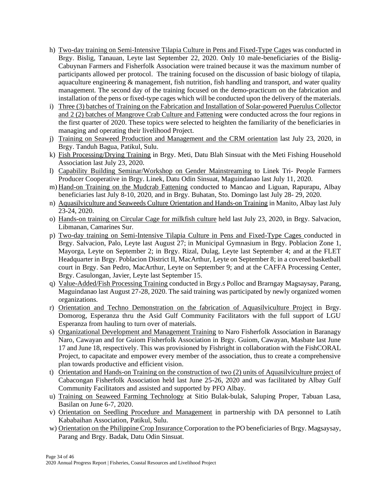- h) Two-day training on Semi-Intensive Tilapia Culture in Pens and Fixed-Type Cages was conducted in Brgy. Bislig, Tanauan, Leyte last September 22, 2020. Only 10 male-beneficiaries of the Bislig-Cabuynan Farmers and Fisherfolk Association were trained because it was the maximum number of participants allowed per protocol. The training focused on the discussion of basic biology of tilapia, aquaculture engineering  $\&$  management, fish nutrition, fish handling and transport, and water quality management. The second day of the training focused on the demo-practicum on the fabrication and installation of the pens or fixed-type cages which will be conducted upon the delivery of the materials.
- i) Three (3) batches of Training on the Fabrication and Installation of Solar-powered Puerulus Collector and 2 (2) batches of Mangrove Crab Culture and Fattening were conducted across the four regions in the first quarter of 2020. These topics were selected to heighten the familiarity of the beneficiaries in managing and operating their livelihood Project.
- j) Training on Seaweed Production and Management and the CRM orientation last July 23, 2020, in Brgy. Tanduh Bagua, Patikul, Sulu.
- k) Fish Processing/Drying Training in Brgy. Meti, Datu Blah Sinsuat with the Meti Fishing Household Association last July 23, 2020.
- l) Capability Building Seminar/Workshop on Gender Mainstreaming to Linek Tri- People Farmers Producer Cooperative in Brgy. Linek, Datu Odin Sinsuat, Maguindanao last July 11, 2020.
- m) Hand-on Training on the Mudcrab Fattening conducted to Mancao and Liguan, Rapurapu, Albay beneficiaries last July 8-10, 2020, and in Brgy. Buhatan, Sto. Domingo last July 28- 29, 2020.
- n) Aquasilviculture and Seaweeds Culture Orientation and Hands-on Training in Manito, Albay last July 23-24, 2020.
- o) Hands-on training on Circular Cage for milkfish culture held last July 23, 2020, in Brgy. Salvacion, Libmanan, Camarines Sur.
- p) Two-day training on Semi-Intensive Tilapia Culture in Pens and Fixed-Type Cages conducted in Brgy. Salvacion, Palo, Leyte last August 27; in Municipal Gymnasium in Brgy. Poblacion Zone 1, Mayorga, Leyte on September 2; in Brgy. Rizal, Dulag, Leyte last September 4; and at the FLET Headquarter in Brgy. Poblacion District II, MacArthur, Leyte on September 8; in a covered basketball court in Brgy. San Pedro, MacArthur, Leyte on September 9; and at the CAFFA Processing Center, Brgy. Casulongan, Javier, Leyte last September 15.
- q) Value-Added/Fish Processing Training conducted in Brgy.s Polloc and Brarngay Magsaysay, Parang, Maguindanao last August 27-28, 2020. The said training was participated by newly organized women organizations.
- r) Orientation and Techno Demonstration on the fabrication of Aquasilviculture Project in Brgy. Domorog, Esperanza thru the Asid Gulf Community Facilitators with the full support of LGU Esperanza from hauling to turn over of materials.
- s) Organizational Development and Management Training to Naro Fisherfolk Association in Baranagy Naro, Cawayan and for Guiom Fisherfolk Association in Brgy. Guiom, Cawayan, Masbate last June 17 and June 18, respectively. This was provisioned by Fishright in collaboration with the FishCORAL Project, to capacitate and empower every member of the association, thus to create a comprehensive plan towards productive and efficient vision.
- t) Orientation and Hands-on Training on the construction of two (2) units of Aquasilviculture project of Cabacongan Fisherfolk Association held last June 25-26, 2020 and was facilitated by Albay Gulf Community Facilitators and assisted and supported by PFO Albay.
- u) Training on Seaweed Farming Technology at Sitio Bulak-bulak, Saluping Proper, Tabuan Lasa, Basilan on June 6-7, 2020.
- v) Orientation on Seedling Procedure and Management in partnership with DA personnel to Latih Kababaihan Association, Patikul, Sulu.
- w) Orientation on the Philippine Crop Insurance Corporation to the PO beneficiaries of Brgy. Magsaysay, Parang and Brgy. Badak, Datu Odin Sinsuat.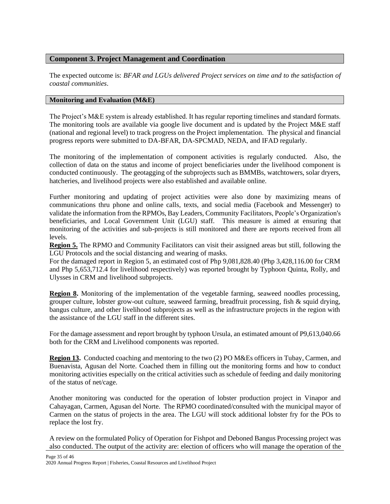# **Component 3. Project Management and Coordination**

The expected outcome is: *BFAR and LGUs delivered Project services on time and to the satisfaction of coastal communities*.

# **Monitoring and Evaluation (M&E)**

The Project's M&E system is already established. It has regular reporting timelines and standard formats. The monitoring tools are available via google live document and is updated by the Project M&E staff (national and regional level) to track progress on the Project implementation. The physical and financial progress reports were submitted to DA-BFAR, DA-SPCMAD, NEDA, and IFAD regularly.

The monitoring of the implementation of component activities is regularly conducted. Also, the collection of data on the status and income of project beneficiaries under the livelihood component is conducted continuously. The geotagging of the subprojects such as BMMBs, watchtowers, solar dryers, hatcheries, and livelihood projects were also established and available online.

Further monitoring and updating of project activities were also done by maximizing means of communications thru phone and online calls, texts, and social media (Facebook and Messenger) to validate the information from the RPMOs, Bay Leaders, Community Facilitators, People's Organization's beneficiaries, and Local Government Unit (LGU) staff. This measure is aimed at ensuring that monitoring of the activities and sub-projects is still monitored and there are reports received from all levels.

**Region 5.** The RPMO and Community Facilitators can visit their assigned areas but still, following the LGU Protocols and the social distancing and wearing of masks.

For the damaged report in Region 5, an estimated cost of Php 9,081,828.40 (Php 3,428,116.00 for CRM and Php 5,653,712.4 for livelihood respectively) was reported brought by Typhoon Quinta, Rolly, and Ulysses in CRM and livelihood subprojects.

**Region 8.** Monitoring of the implementation of the vegetable farming, seaweed noodles processing, grouper culture, lobster grow-out culture, seaweed farming, breadfruit processing, fish & squid drying, bangus culture, and other livelihood subprojects as well as the infrastructure projects in the region with the assistance of the LGU staff in the different sites.

For the damage assessment and report brought by typhoon Ursula, an estimated amount of P9,613,040.66 both for the CRM and Livelihood components was reported.

**Region 13.** Conducted coaching and mentoring to the two (2) PO M&Es officers in Tubay, Carmen, and Buenavista, Agusan del Norte. Coached them in filling out the monitoring forms and how to conduct monitoring activities especially on the critical activities such as schedule of feeding and daily monitoring of the status of net/cage.

Another monitoring was conducted for the operation of lobster production project in Vinapor and Cahayagan, Carmen, Agusan del Norte. The RPMO coordinated/consulted with the municipal mayor of Carmen on the status of projects in the area. The LGU will stock additional lobster fry for the POs to replace the lost fry.

A review on the formulated Policy of Operation for Fishpot and Deboned Bangus Processing project was also conducted. The output of the activity are: election of officers who will manage the operation of the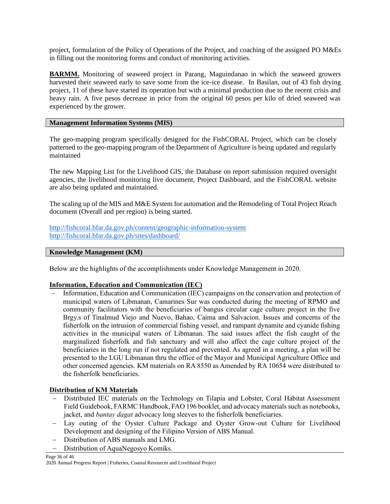project, formulation of the Policy of Operations of the Project, and coaching of the assigned PO M&Es in filling out the monitoring forms and conduct of monitoring activities.

**BARMM.** Monitoring of seaweed project in Parang, Maguindanao in which the seaweed growers harvested their seaweed early to save some from the ice-ice disease. In Basilan, out of 43 fish drying project, 11 of these have started its operation but with a minimal production due to the recent crisis and heavy rain. A five pesos decrease in price from the original 60 pesos per kilo of dried seaweed was experienced by the grower.

# **Management Information Systems (MIS)**

The geo-mapping program specifically designed for the FishCORAL Project, which can be closely patterned to the geo-mapping program of the Department of Agriculture is being updated and regularly maintained

The new Mapping List for the Livelihood GIS, the Database on report submission required oversight agencies, the livelihood monitoring live document, Project Dashboard, and the FishCORAL website are also being updated and maintained.

The scaling up of the MIS and M&E System for automation and the Remodeling of Total Project Reach document (Overall and per region) is being started.

<http://fishcoral.bfar.da.gov.ph/content/geographic-information-system> <http://fishcoral.bfar.da.gov.ph/sites/dashboard/>

## **Knowledge Management (KM)**

Below are the highlights of the accomplishments under Knowledge Management in 2020.

## **Information, Education and Communication (IEC)**

Information, Education and Communication (IEC) campaigns on the conservation and protection of municipal waters of Libmanan, Camarines Sur was conducted during the meeting of RPMO and community facilitators with the beneficiaries of bangus circular cage culture project in the five Brgy.s of Tinalmud Viejo and Nuevo, Bahao, Caima and Salvacion. Issues and concerns of the fisherfolk on the intrusion of commercial fishing vessel, and rampant dynamite and cyanide fishing activities in the municipal waters of Libmanan. The said issues affect the fish caught of the marginalized fisherfolk and fish sanctuary and will also affect the cage culture project of the beneficiaries in the long run if not regulated and prevented. As agreed in a meeting, a plan will be presented to the LGU Libmanan thru the office of the Mayor and Municipal Agriculture Office and other concerned agencies. KM materials on RA 8550 as Amended by RA 10654 were distributed to the fisherfolk beneficiaries.

# **Distribution of KM Materials**

- Distributed IEC materials on the Technology on Tilapia and Lobster, Coral Habitat Assessment Field Guidebook, FARMC Handbook, FAO 196 booklet, and advocacy materials such as notebooks, jacket, and *bantay dagat* advocacy long sleeves to the fisherfolk beneficiaries.
- − Lay outing of the Oyster Culture Package and Oyster Grow-out Culture for Livelihood Development and designing of the Filipino Version of ABS Manual.
- − Distribution of ABS manuals and LMG.
- Distribution of AquaNegosyo Komiks.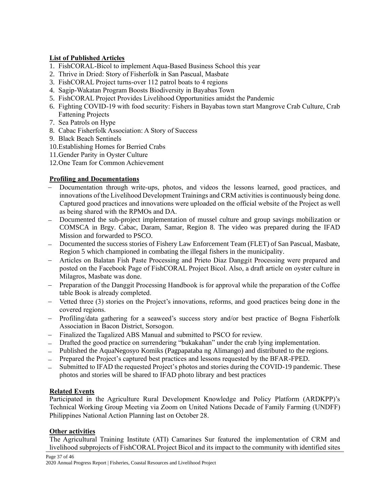# **List of Published Articles**

- 1. FishCORAL-Bicol to implement Aqua-Based Business School this year
- 2. Thrive in Dried: Story of Fisherfolk in San Pascual, Masbate
- 3. FishCORAL Project turns-over 112 patrol boats to 4 regions
- 4. Sagip-Wakatan Program Boosts Biodiversity in Bayabas Town
- 5. FishCORAL Project Provides Livelihood Opportunities amidst the Pandemic
- 6. Fighting COVID-19 with food security: Fishers in Bayabas town start Mangrove Crab Culture, Crab Fattening Projects
- 7. Sea Patrols on Hype
- 8. Cabac Fisherfolk Association: A Story of Success
- 9. Black Beach Sentinels
- 10.Establishing Homes for Berried Crabs
- 11.Gender Parity in Oyster Culture
- 12.One Team for Common Achievement

# **Profiling and Documentations**

- − Documentation through write-ups, photos, and videos the lessons learned, good practices, and innovations of the Livelihood Development Trainings and CRM activities is continuously being done. Captured good practices and innovations were uploaded on the official website of the Project as well as being shared with the RPMOs and DA.
- − Documented the sub-project implementation of mussel culture and group savings mobilization or COMSCA in Brgy. Cabac, Daram, Samar, Region 8. The video was prepared during the IFAD Mission and forwarded to PSCO.
- − Documented the success stories of Fishery Law Enforcement Team (FLET) of San Pascual, Masbate, Region 5 which championed in combating the illegal fishers in the municipality.
- − Articles on Balatan Fish Paste Processing and Prieto Diaz Danggit Processing were prepared and posted on the Facebook Page of FishCORAL Project Bicol. Also, a draft article on oyster culture in Milagros, Masbate was done.
- − Preparation of the Danggit Processing Handbook is for approval while the preparation of the Coffee table Book is already completed.
- − Vetted three (3) stories on the Project's innovations, reforms, and good practices being done in the covered regions.
- − Profiling/data gathering for a seaweed's success story and/or best practice of Bogna Fisherfolk Association in Bacon District, Sorsogon.
- − Finalized the Tagalized ABS Manual and submitted to PSCO for review.
- − Drafted the good practice on surrendering "bukakahan" under the crab lying implementation.
- − Published the AquaNegosyo Komiks (Pagpapataba ng Alimango) and distributed to the regions.
- − Prepared the Project's captured best practices and lessons requested by the BFAR-FPED.
- − Submitted to IFAD the requested Project's photos and stories during the COVID-19 pandemic. These photos and stories will be shared to IFAD photo library and best practices

## **Related Events**

Participated in the Agriculture Rural Development Knowledge and Policy Platform (ARDKPP)'s Technical Working Group Meeting via Zoom on United Nations Decade of Family Farming (UNDFF) Philippines National Action Planning last on October 28.

# **Other activities**

The Agricultural Training Institute (ATI) Camarines Sur featured the implementation of CRM and livelihood subprojects of FishCORAL Project Bicol and its impact to the community with identified sites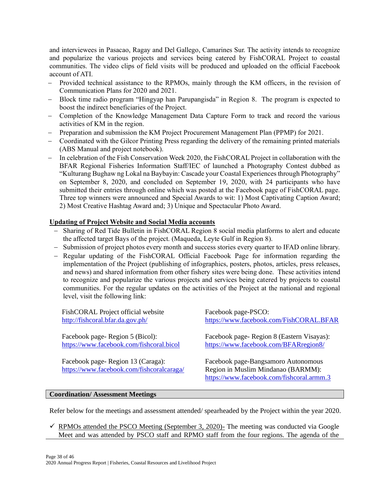and interviewees in Pasacao, Ragay and Del Gallego, Camarines Sur. The activity intends to recognize and popularize the various projects and services being catered by FishCORAL Project to coastal communities. The video clips of field visits will be produced and uploaded on the official Facebook account of ATI.

- − Provided technical assistance to the RPMOs, mainly through the KM officers, in the revision of Communication Plans for 2020 and 2021.
- − Block time radio program "Hingyap han Parupangisda" in Region 8. The program is expected to boost the indirect beneficiaries of the Project.
- − Completion of the Knowledge Management Data Capture Form to track and record the various activities of KM in the region.
- − Preparation and submission the KM Project Procurement Management Plan (PPMP) for 2021.
- − Coordinated with the Gilcor Printing Press regarding the delivery of the remaining printed materials (ABS Manual and project notebook).
- − In celebration of the Fish Conservation Week 2020, the FishCORAL Project in collaboration with the BFAR Regional Fisheries Information Staff/IEC of launched a Photography Contest dubbed as "Kulturang Bughaw ng Lokal na Baybayin: Cascade your Coastal Experiences through Photography" on September 8, 2020, and concluded on September 19, 2020, with 24 participants who have submitted their entries through online which was posted at the Facebook page of FishCORAL page. Three top winners were announced and Special Awards to wit: 1) Most Captivating Caption Award; 2) Most Creative Hashtag Award and; 3) Unique and Spectacular Photo Award.

# **Updating of Project Website and Social Media accounts**

- − Sharing of Red Tide Bulletin in FishCORAL Region 8 social media platforms to alert and educate the affected target Bays of the project. (Maqueda, Leyte Gulf in Region 8).
- − Submission of project photos every month and success stories every quarter to IFAD online library.
- − Regular updating of the FishCORAL Official Facebook Page for information regarding the implementation of the Project (publishing of infographics, posters, photos, articles, press releases, and news) and shared information from other fishery sites were being done. These activities intend to recognize and popularize the various projects and services being catered by projects to coastal communities. For the regular updates on the activities of the Project at the national and regional level, visit the following link:

| Facebook page-Region 8 (Eastern Visayas):<br>https://www.facebook.com/BFARregion8/                                     |
|------------------------------------------------------------------------------------------------------------------------|
| Facebook page-Bangsamoro Autonomous<br>Region in Muslim Mindanao (BARMM):<br>https://www.facebook.com/fishcoral.armm.3 |
|                                                                                                                        |

## **Coordination/ Assessment Meetings**

Refer below for the meetings and assessment attended/ spearheaded by the Project within the year 2020.

 $\checkmark$  RPMOs attended the PSCO Meeting (September 3, 2020)- The meeting was conducted via Google Meet and was attended by PSCO staff and RPMO staff from the four regions. The agenda of the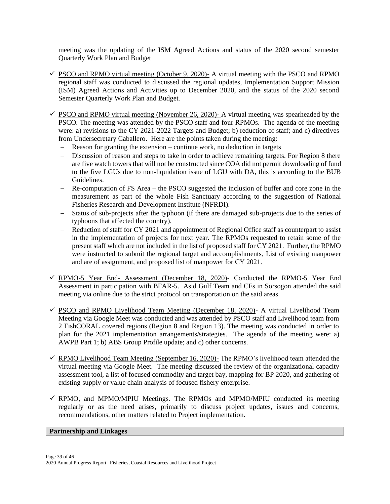meeting was the updating of the ISM Agreed Actions and status of the 2020 second semester Quarterly Work Plan and Budget

- $\checkmark$  PSCO and RPMO virtual meeting (October 9, 2020)- A virtual meeting with the PSCO and RPMO regional staff was conducted to discussed the regional updates, Implementation Support Mission (ISM) Agreed Actions and Activities up to December 2020, and the status of the 2020 second Semester Quarterly Work Plan and Budget.
- $\checkmark$  PSCO and RPMO virtual meeting (November 26, 2020)- A virtual meeting was spearheaded by the PSCO. The meeting was attended by the PSCO staff and four RPMOs. The agenda of the meeting were: a) revisions to the CY 2021-2022 Targets and Budget; b) reduction of staff; and c) directives from Undersecretary Caballero. Here are the points taken during the meeting:
	- Reason for granting the extension continue work, no deduction in targets
	- − Discussion of reason and steps to take in order to achieve remaining targets. For Region 8 there are five watch towers that will not be constructed since COA did not permit downloading of fund to the five LGUs due to non-liquidation issue of LGU with DA, this is according to the BUB Guidelines.
	- − Re-computation of FS Area the PSCO suggested the inclusion of buffer and core zone in the measurement as part of the whole Fish Sanctuary according to the suggestion of National Fisheries Research and Development Institute (NFRDI).
	- − Status of sub-projects after the typhoon (if there are damaged sub-projects due to the series of typhoons that affected the country).
	- − Reduction of staff for CY 2021 and appointment of Regional Office staff as counterpart to assist in the implementation of projects for next year. The RPMOs requested to retain some of the present staff which are not included in the list of proposed staff for CY 2021. Further, the RPMO were instructed to submit the regional target and accomplishments, List of existing manpower and are of assignment, and proposed list of manpower for CY 2021.
- ✓ RPMO-5 Year End- Assessment (December 18, 2020)- Conducted the RPMO-5 Year End Assessment in participation with BFAR-5. Asid Gulf Team and CFs in Sorsogon attended the said meeting via online due to the strict protocol on transportation on the said areas.
- $\checkmark$  PSCO and RPMO Livelihood Team Meeting (December 18, 2020)- A virtual Livelihood Team Meeting via Google Meet was conducted and was attended by PSCO staff and Livelihood team from 2 FishCORAL covered regions (Region 8 and Region 13). The meeting was conducted in order to plan for the 2021 implementation arrangements/strategies. The agenda of the meeting were: a) AWPB Part 1; b) ABS Group Profile update; and c) other concerns.
- $\checkmark$  RPMO Livelihood Team Meeting (September 16, 2020)- The RPMO's livelihood team attended the virtual meeting via Google Meet. The meeting discussed the review of the organizational capacity assessment tool, a list of focused commodity and target bay, mapping for BP 2020, and gathering of existing supply or value chain analysis of focused fishery enterprise.
- $\checkmark$  RPMO, and MPMO/MPIU Meetings. The RPMOs and MPMO/MPIU conducted its meeting regularly or as the need arises, primarily to discuss project updates, issues and concerns, recommendations, other matters related to Project implementation.

# **Partnership and Linkages**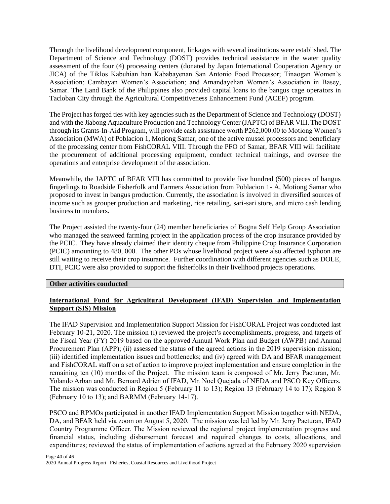Through the livelihood development component, linkages with several institutions were established. The Department of Science and Technology (DOST) provides technical assistance in the water quality assessment of the four (4) processing centers (donated by Japan International Cooperation Agency or JICA) of the Tiklos Kabuhian han Kababayenan San Antonio Food Processor; Tinaogan Women's Association; Cambayan Women's Association; and Amandayehan Women's Association in Basey, Samar. The Land Bank of the Philippines also provided capital loans to the bangus cage operators in Tacloban City through the Agricultural Competitiveness Enhancement Fund (ACEF) program.

The Project has forged ties with key agencies such as the Department of Science and Technology (DOST) and with the Jiabong Aquaculture Production and Technology Center (JAPTC) of BFAR VIII. The DOST through its Grants-In-Aid Program, will provide cash assistance worth ₱262,000.00 to Motiong Women's Association (MWA) of Poblacion 1, Motiong Samar, one of the active mussel processors and beneficiary of the processing center from FishCORAL VIII. Through the PFO of Samar, BFAR VIII will facilitate the procurement of additional processing equipment, conduct technical trainings, and oversee the operations and enterprise development of the association.

Meanwhile, the JAPTC of BFAR VIII has committed to provide five hundred (500) pieces of bangus fingerlings to Roadside Fisherfolk and Farmers Association from Poblacion 1- A, Motiong Samar who proposed to invest in bangus production. Currently, the association is involved in diversified sources of income such as grouper production and marketing, rice retailing, sari-sari store, and micro cash lending business to members.

The Project assisted the twenty-four (24) member beneficiaries of Bogna Self Help Group Association who managed the seaweed farming project in the application process of the crop insurance provided by the PCIC. They have already claimed their identity cheque from Philippine Crop Insurance Corporation (PCIC) amounting to 480, 000. The other POs whose livelihood project were also affected typhoon are still waiting to receive their crop insurance. Further coordination with different agencies such as DOLE, DTI, PCIC were also provided to support the fisherfolks in their livelihood projects operations.

#### **Other activities conducted**

# **International Fund for Agricultural Development (IFAD) Supervision and Implementation Support (SIS) Mission**

The IFAD Supervision and Implementation Support Mission for FishCORAL Project was conducted last February 10-21, 2020. The mission (i) reviewed the project's accomplishments, progress, and targets of the Fiscal Year (FY) 2019 based on the approved Annual Work Plan and Budget (AWPB) and Annual Procurement Plan (APP); (ii) assessed the status of the agreed actions in the 2019 supervision mission; (iii) identified implementation issues and bottlenecks; and (iv) agreed with DA and BFAR management and FishCORAL staff on a set of action to improve project implementation and ensure completion in the remaining ten (10) months of the Project. The mission team is composed of Mr. Jerry Pacturan, Mr. Yolando Arban and Mr. Bernard Adrien of IFAD, Mr. Noel Quejada of NEDA and PSCO Key Officers. The mission was conducted in Region 5 (February 11 to 13); Region 13 (February 14 to 17); Region 8 (February 10 to 13); and BARMM (February 14-17).

PSCO and RPMOs participated in another IFAD Implementation Support Mission together with NEDA, DA, and BFAR held via zoom on August 5, 2020. The mission was led led by Mr. Jerry Pacturan, IFAD Country Programme Officer. The Mission reviewed the regional project implementation progress and financial status, including disbursement forecast and required changes to costs, allocations, and expenditures; reviewed the status of implementation of actions agreed at the February 2020 supervision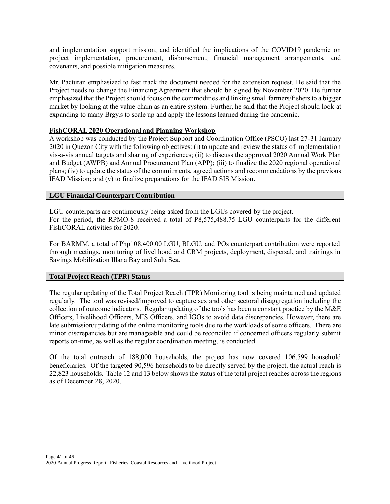and implementation support mission; and identified the implications of the COVID19 pandemic on project implementation, procurement, disbursement, financial management arrangements, and covenants, and possible mitigation measures.

Mr. Pacturan emphasized to fast track the document needed for the extension request. He said that the Project needs to change the Financing Agreement that should be signed by November 2020. He further emphasized that the Project should focus on the commodities and linking small farmers/fishers to a bigger market by looking at the value chain as an entire system. Further, he said that the Project should look at expanding to many Brgy.s to scale up and apply the lessons learned during the pandemic.

## **FishCORAL 2020 Operational and Planning Workshop**

A workshop was conducted by the Project Support and Coordination Office (PSCO) last 27-31 January 2020 in Quezon City with the following objectives: (i) to update and review the status of implementation vis-a-vis annual targets and sharing of experiences; (ii) to discuss the approved 2020 Annual Work Plan and Budget (AWPB) and Annual Procurement Plan (APP); (iii) to finalize the 2020 regional operational plans; (iv) to update the status of the commitments, agreed actions and recommendations by the previous IFAD Mission; and (v) to finalize preparations for the IFAD SIS Mission.

#### **LGU Financial Counterpart Contribution**

LGU counterparts are continuously being asked from the LGUs covered by the project. For the period, the RPMO-8 received a total of P8,575,488.75 LGU counterparts for the different FishCORAL activities for 2020.

For BARMM, a total of Php108,400.00 LGU, BLGU, and POs counterpart contribution were reported through meetings, monitoring of livelihood and CRM projects, deployment, dispersal, and trainings in Savings Mobilization Illana Bay and Sulu Sea.

#### **Total Project Reach (TPR) Status**

The regular updating of the Total Project Reach (TPR) Monitoring tool is being maintained and updated regularly. The tool was revised/improved to capture sex and other sectoral disaggregation including the collection of outcome indicators. Regular updating of the tools has been a constant practice by the  $M&E$ Officers, Livelihood Officers, MIS Officers, and IGOs to avoid data discrepancies. However, there are late submission/updating of the online monitoring tools due to the workloads of some officers. There are minor discrepancies but are manageable and could be reconciled if concerned officers regularly submit reports on-time, as well as the regular coordination meeting, is conducted.

Of the total outreach of 188,000 households, the project has now covered 106,599 household beneficiaries. Of the targeted 90,596 households to be directly served by the project, the actual reach is 22,823 households. Table 12 and 13 below shows the status of the total project reaches across the regions as of December 28, 2020.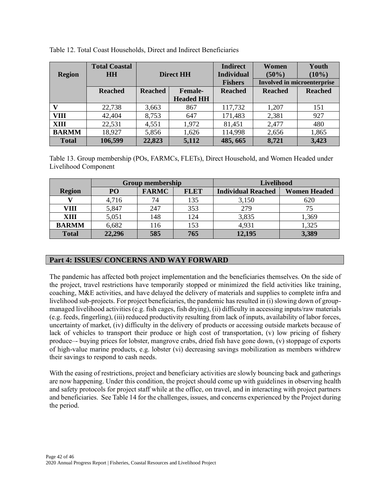| <b>Region</b> | <b>Total Coastal</b><br><b>HH</b> | <b>Direct HH</b> |                                    | <b>Indirect</b><br><b>Individual</b><br><b>Fishers</b> | Women<br>$(50\%)$<br><b>Involved in microenterprise</b> | Youth<br>$(10\%)$ |
|---------------|-----------------------------------|------------------|------------------------------------|--------------------------------------------------------|---------------------------------------------------------|-------------------|
|               | <b>Reached</b>                    | <b>Reached</b>   | <b>Female-</b><br><b>Headed HH</b> | <b>Reached</b>                                         | <b>Reached</b>                                          | <b>Reached</b>    |
| v             | 22,738                            | 3,663            | 867                                | 117,732                                                | 1,207                                                   | 151               |
| VIII          | 42,404                            | 8,753            | 647                                | 171,483                                                | 2,381                                                   | 927               |
| XIII          | 22,531                            | 4,551            | 1,972                              | 81,451                                                 | 2,477                                                   | 480               |
| <b>BARMM</b>  | 18,927                            | 5,856            | 1,626                              | 114,998                                                | 2,656                                                   | 1,865             |
| <b>Total</b>  | 106,599                           | 22,823           | 5,112                              | 485, 665                                               | 8,721                                                   | 3,423             |

Table 12. Total Coast Households, Direct and Indirect Beneficiaries

Table 13. Group membership (POs, FARMCs, FLETs), Direct Household, and Women Headed under Livelihood Component

|               | <b>Group membership</b> |              |             | Livelihood                |                     |  |
|---------------|-------------------------|--------------|-------------|---------------------------|---------------------|--|
| <b>Region</b> | P <sub>O</sub>          | <b>FARMC</b> | <b>FLET</b> | <b>Individual Reached</b> | <b>Women Headed</b> |  |
|               | 4,716                   | 74           | 135         | 3,150                     | 620                 |  |
| VIII          | 5,847                   | 247          | 353         | 279                       |                     |  |
| XIII          | 5,051                   | 148          | 124         | 3,835                     | 1,369               |  |
| <b>BARMM</b>  | 6,682                   | 116          | 153         | 4,931                     | 1,325               |  |
| <b>Total</b>  | 22,296                  | 585          | 765         | 12,195                    | 3,389               |  |

# **Part 4: ISSUES/ CONCERNS AND WAY FORWARD**

The pandemic has affected both project implementation and the beneficiaries themselves. On the side of the project, travel restrictions have temporarily stopped or minimized the field activities like training, coaching, M&E activities, and have delayed the delivery of materials and supplies to complete infra and livelihood sub-projects. For project beneficiaries, the pandemic has resulted in (i) slowing down of groupmanaged livelihood activities (e.g. fish cages, fish drying), (ii) difficulty in accessing inputs/raw materials (e.g. feeds, fingerling), (iii) reduced productivity resulting from lack of inputs, availability of labor forces, uncertainty of market, (iv) difficulty in the delivery of products or accessing outside markets because of lack of vehicles to transport their produce or high cost of transportation, (v) low pricing of fishery produce–- buying prices for lobster, mangrove crabs, dried fish have gone down, (v) stoppage of exports of high-value marine products, e.g. lobster (vi) decreasing savings mobilization as members withdrew their savings to respond to cash needs.

With the easing of restrictions, project and beneficiary activities are slowly bouncing back and gatherings are now happening. Under this condition, the project should come up with guidelines in observing health and safety protocols for project staff while at the office, on travel, and in interacting with project partners and beneficiaries. See Table 14 for the challenges, issues, and concerns experienced by the Project during the period.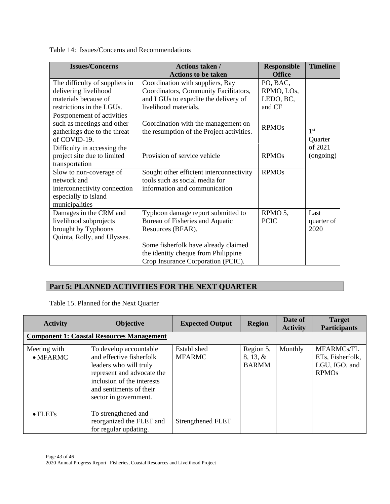Table 14: Issues/Concerns and Recommendations

| <b>Issues/Concerns</b>                                                                                                                                                                                   | <b>Actions taken /</b>                                                                                                                                                                                                                                       | <b>Responsible</b>                                                             | <b>Timeline</b>                 |
|----------------------------------------------------------------------------------------------------------------------------------------------------------------------------------------------------------|--------------------------------------------------------------------------------------------------------------------------------------------------------------------------------------------------------------------------------------------------------------|--------------------------------------------------------------------------------|---------------------------------|
| The difficulty of suppliers in<br>delivering livelihood<br>materials because of<br>restrictions in the LGUs.<br>Postponement of activities<br>such as meetings and other<br>gatherings due to the threat | <b>Actions to be taken</b><br>Coordination with suppliers, Bay<br>Coordinators, Community Facilitators,<br>and LGUs to expedite the delivery of<br>livelihood materials.<br>Coordination with the management on<br>the resumption of the Project activities. | <b>Office</b><br>PO, BAC,<br>RPMO, LOs,<br>LEDO, BC,<br>and CF<br><b>RPMOs</b> | 1 <sup>st</sup>                 |
| of COVID-19.<br>Difficulty in accessing the<br>project site due to limited<br>transportation<br>Slow to non-coverage of<br>network and                                                                   | Provision of service vehicle<br>Sought other efficient interconnectivity<br>tools such as social media for                                                                                                                                                   | <b>RPMOs</b><br><b>RPMOs</b>                                                   | Quarter<br>of 2021<br>(ongoing) |
| interconnectivity connection<br>especially to island<br>municipalities                                                                                                                                   | information and communication                                                                                                                                                                                                                                |                                                                                |                                 |
| Damages in the CRM and<br>livelihood subprojects<br>brought by Typhoons<br>Quinta, Rolly, and Ulysses.                                                                                                   | Typhoon damage report submitted to<br>Bureau of Fisheries and Aquatic<br>Resources (BFAR).<br>Some fisherfolk have already claimed<br>the identity cheque from Philippine<br>Crop Insurance Corporation (PCIC).                                              | RPMO 5,<br><b>PCIC</b>                                                         | Last<br>quarter of<br>2020      |

# **Part 5: PLANNED ACTIVITIES FOR THE NEXT QUARTER**

Table 15. Planned for the Next Quarter

| <b>Activity</b>                  | <b>Objective</b>                                                                                                                                                                             | <b>Expected Output</b>       | <b>Region</b>                            | Date of<br><b>Activity</b> | <b>Target</b><br><b>Participants</b>                                       |
|----------------------------------|----------------------------------------------------------------------------------------------------------------------------------------------------------------------------------------------|------------------------------|------------------------------------------|----------------------------|----------------------------------------------------------------------------|
|                                  | <b>Component 1: Coastal Resources Management</b>                                                                                                                                             |                              |                                          |                            |                                                                            |
| Meeting with<br>$\bullet$ MFARMC | To develop accountable<br>and effective fisherfolk<br>leaders who will truly<br>represent and advocate the<br>inclusion of the interests<br>and sentiments of their<br>sector in government. | Established<br><b>MFARMC</b> | Region 5,<br>$8, 13, \&$<br><b>BARMM</b> | Monthly                    | MFARMCs/FL<br>ETs, Fisherfolk,<br>LGU, IGO, and<br><b>RPMO<sub>s</sub></b> |
| $\bullet$ FLETs                  | To strengthened and<br>reorganized the FLET and<br>for regular updating.                                                                                                                     | Strengthened FLET            |                                          |                            |                                                                            |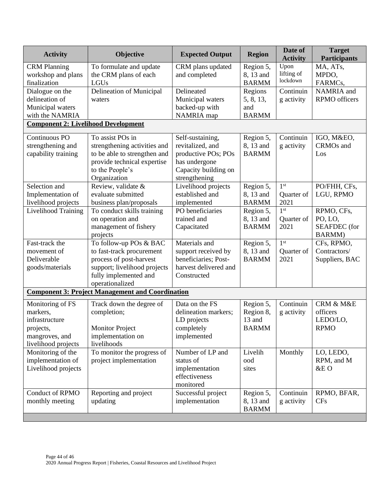| <b>Activity</b>                            | Objective                                               | <b>Expected Output</b>          | <b>Region</b>             | Date of<br><b>Activity</b> | <b>Target</b><br><b>Participants</b> |
|--------------------------------------------|---------------------------------------------------------|---------------------------------|---------------------------|----------------------------|--------------------------------------|
| <b>CRM</b> Planning                        | To formulate and update                                 | CRM plans updated               | Region 5,                 | Upon                       | MA, ATs,                             |
| workshop and plans                         | the CRM plans of each                                   | and completed                   | 8, 13 and                 | lifting of<br>lockdown     | MPDO,                                |
| finalization                               | LGUs                                                    |                                 | <b>BARMM</b>              |                            | FARMCs,                              |
| Dialogue on the                            | Delineation of Municipal                                | Delineated                      | Regions                   | Continuin                  | NAMRIA and                           |
| delineation of                             | waters                                                  | Municipal waters                | 5, 8, 13,                 | g activity                 | RPMO officers                        |
| Municipal waters<br>with the NAMRIA        |                                                         | backed-up with                  | and<br><b>BARMM</b>       |                            |                                      |
| <b>Component 2: Livelihood Development</b> |                                                         | NAMRIA map                      |                           |                            |                                      |
|                                            |                                                         |                                 |                           |                            |                                      |
| Continuous PO                              | To assist POs in                                        | Self-sustaining,                | Region 5,                 | Continuin                  | IGO, M&EO,                           |
| strengthening and                          | strengthening activities and                            | revitalized, and                | 8, 13 and                 | g activity                 | CRMOs and                            |
| capability training                        | to be able to strengthen and                            | productive POs; POs             | <b>BARMM</b>              |                            | Los                                  |
|                                            | provide technical expertise                             | has undergone                   |                           |                            |                                      |
|                                            | to the People's                                         | Capacity building on            |                           |                            |                                      |
|                                            | Organization                                            | strengthening                   |                           |                            |                                      |
| Selection and                              | Review, validate &                                      | Livelihood projects             | Region 5,                 | 1 <sup>st</sup>            | PO/FHH, CFs,                         |
| Implementation of                          | evaluate submitted                                      | established and                 | 8, 13 and                 | Quarter of                 | LGU, RPMO                            |
| livelihood projects                        | business plan/proposals                                 | implemented<br>PO beneficiaries | <b>BARMM</b>              | 2021<br>1 <sup>st</sup>    |                                      |
| Livelihood Training                        | To conduct skills training                              | trained and                     | Region 5,<br>8, 13 and    |                            | RPMO, CFs,<br>PO, LO.                |
|                                            | on operation and<br>management of fishery               | Capacitated                     | <b>BARMM</b>              | Quarter of<br>2021         | <b>SEAFDEC</b> (for                  |
|                                            | projects                                                |                                 |                           |                            | <b>BARMM</b> )                       |
| Fast-track the                             | To follow-up POs & BAC                                  | Materials and                   | Region 5,                 | 1 <sup>st</sup>            | CFs, RPMO,                           |
| movement of                                | to fast-track procurement                               | support received by             | 8, 13 and                 | Quarter of                 | Contractors/                         |
| Deliverable                                | process of post-harvest                                 | beneficiaries; Post-            | <b>BARMM</b>              | 2021                       | Suppliers, BAC                       |
| goods/materials                            | support; livelihood projects                            | harvest delivered and           |                           |                            |                                      |
|                                            | fully implemented and                                   | Constructed                     |                           |                            |                                      |
|                                            | operationalized                                         |                                 |                           |                            |                                      |
|                                            | <b>Component 3: Project Management and Coordination</b> |                                 |                           |                            |                                      |
| Monitoring of FS                           | Track down the degree of                                | Data on the FS                  | Region 5,                 | Continuin                  | CRM & M&E                            |
| markers,                                   | completion;                                             | delineation markers;            | Region 8,                 | g activity                 | officers                             |
| infrastructure                             |                                                         | LD projects                     | 13 and                    |                            | LEDO/LO,                             |
| projects,                                  | <b>Monitor Project</b>                                  | completely                      | <b>BARMM</b>              |                            | <b>RPMO</b>                          |
| mangroves, and                             | implementation on                                       | implemented                     |                           |                            |                                      |
| livelihood projects                        | livelihoods                                             |                                 |                           |                            |                                      |
| Monitoring of the                          | To monitor the progress of                              | Number of LP and                | Livelih                   | Monthly                    | LO, LEDO,                            |
| implementation of                          | project implementation                                  | status of                       | ood                       |                            | RPM, and M                           |
| Livelihood projects                        |                                                         | implementation                  | sites                     |                            | &E O                                 |
|                                            |                                                         | effectiveness                   |                           |                            |                                      |
|                                            |                                                         | monitored                       |                           |                            |                                      |
| Conduct of RPMO                            | Reporting and project                                   | Successful project              | Region 5,                 | Continuin                  | RPMO, BFAR,                          |
| monthly meeting                            | updating                                                | implementation                  | 8, 13 and<br><b>BARMM</b> | g activity                 | <b>CFs</b>                           |
|                                            |                                                         |                                 |                           |                            |                                      |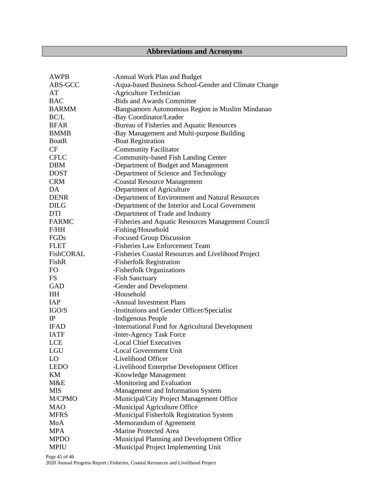# **Abbreviations and Acronyms**

| <b>AWPB</b>  | -Annual Work Plan and Budget                          |
|--------------|-------------------------------------------------------|
| ABS-GCC      | -Aqua-based Business School-Gender and Climate Change |
| AT           | -Agriculture Technician                               |
| <b>BAC</b>   | -Bids and Awards Committee                            |
| <b>BARMM</b> | -Bangsamoro Autonomous Region in Muslim Mindanao      |
| BC/L         | -Bay Coordinator/Leader                               |
| <b>BFAR</b>  | -Bureau of Fisheries and Aquatic Resources            |
| <b>BMMB</b>  | -Bay Management and Multi-purpose Building            |
| <b>BoatR</b> | -Boat Registration                                    |
| CF           | -Community Facilitator                                |
| <b>CFLC</b>  | -Community-based Fish Landing Center                  |
| <b>DBM</b>   | -Department of Budget and Management                  |
| <b>DOST</b>  | -Department of Science and Technology                 |
| <b>CRM</b>   | -Coastal Resource Management                          |
| DA           | -Department of Agriculture                            |
| <b>DENR</b>  | -Department of Environment and Natural Resources      |
| <b>DILG</b>  | -Department of the Interior and Local Government      |
| <b>DTI</b>   | -Department of Trade and Industry                     |
| <b>FARMC</b> | -Fisheries and Aquatic Resources Management Council   |
| F/HH         | -Fishing/Household                                    |
| FGDs         | -Focused Group Discussion                             |
| <b>FLET</b>  | -Fisheries Law Enforcement Team                       |
| FishCORAL    | -Fisheries Coastal Resources and Livelihood Project   |
| FishR        | -Fisherfolk Registration                              |
| FO           | -Fisherfolk Organizations                             |
| <b>FS</b>    | -Fish Sanctuary                                       |
| <b>GAD</b>   | -Gender and Development                               |
| HH           | -Household                                            |
| IAP          | -Annual Investment Plans                              |
| IGO/S        | -Institutions and Gender Officer/Specialist           |
| IP           | -Indigenous People                                    |
| <b>IFAD</b>  | -International Fund for Agricultural Development      |
| <b>IATF</b>  | -Inter-Agency Task Force                              |
| <b>LCE</b>   | -Local Chief Executives                               |
| LGU          | -Local Government Unit                                |
| LO           | -Livelihood Officer                                   |
| <b>LEDO</b>  | -Livelihood Enterprise Development Officer            |
| KM           | -Knowledge Management                                 |
| M&E          | -Monitoring and Evaluation                            |
| <b>MIS</b>   | -Management and Information System                    |
| M/CPMO       | -Municipal/City Project Management Office             |
| <b>MAO</b>   | -Municipal Agriculture Office                         |
| <b>MFRS</b>  | -Municipal Fisherfolk Registration System             |
| MoA          | -Memorandum of Agreement                              |
| <b>MPA</b>   | -Marine Protected Area                                |
| <b>MPDO</b>  | -Municipal Planning and Development Office            |
| <b>MPIU</b>  | -Municipal Project Implementing Unit                  |

Page 45 of 46

2020 Annual Progress Report | Fisheries, Coastal Resources and Livelihood Project